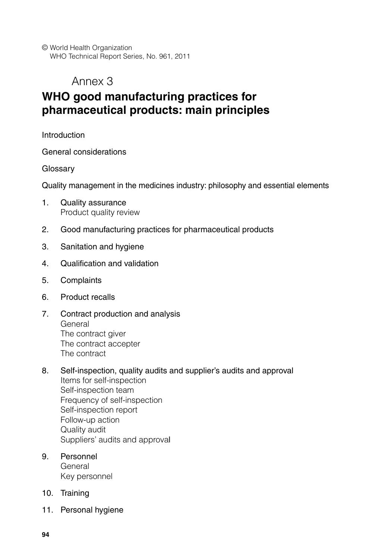© World Health Organization WHO Technical Report Series, No. 961, 2011

# Annex 3

# **WHO good manufacturing practices for pharmaceutical products: main principles**

Introduction

General considerations

**Glossary** 

Quality management in the medicines industry: philosophy and essential elements

- 1. Quality assurance Product quality review
- 2. Good manufacturing practices for pharmaceutical products
- 3. Sanitation and hygiene
- 4. Qualification and validation
- 5. Complaints
- 6. Product recalls
- 7. Contract production and analysis General The contract giver The contract accepter The contract
- 8. Self-inspection, quality audits and supplier's audits and approval Items for self-inspection Self-inspection team Frequency of self-inspection Self-inspection report Follow-up action Quality audit Suppliers' audits and approval
- 9. Personnel General Key personnel
- 10. Training
- 11. Personal hygiene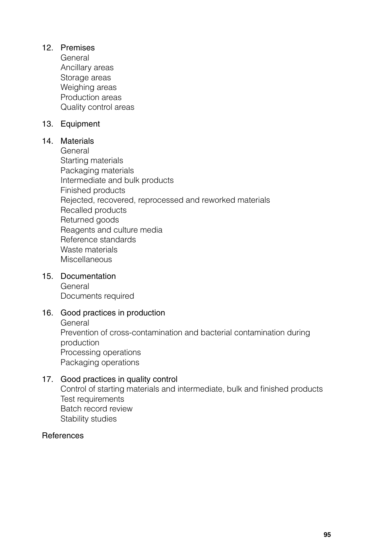### 12. Premises

 General Ancillary areas Storage areas Weighing areas Production areas Quality control areas

### 13. Equipment

### 14. Materials

 General Starting materials Packaging materials Intermediate and bulk products Finished products Rejected, recovered, reprocessed and reworked materials Recalled products Returned goods Reagents and culture media Reference standards Waste materials **Miscellaneous** 

15. Documentation General Documents required

### 16. Good practices in production General Prevention of cross-contamination and bacterial contamination during production Processing operations Packaging operations

## 17. Good practices in quality control

Control of starting materials and intermediate, bulk and finished products Test requirements Batch record review Stability studies

### **References**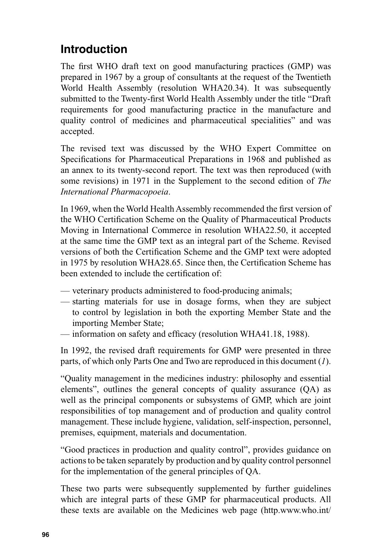# **Introduction**

The first WHO draft text on good manufacturing practices (GMP) was prepared in 1967 by a group of consultants at the request of the Twentieth World Health Assembly (resolution WHA20.34). It was subsequently submitted to the Twenty-first World Health Assembly under the title "Draft" requirements for good manufacturing practice in the manufacture and quality control of medicines and pharmaceutical specialities" and was accepted.

The revised text was discussed by the WHO Expert Committee on Specifications for Pharmaceutical Preparations in 1968 and published as an annex to its twenty-second report. The text was then reproduced (with some revisions) in 1971 in the Supplement to the second edition of *The International Pharmacopoeia*.

In 1969, when the World Health Assembly recommended the first version of the WHO Certification Scheme on the Quality of Pharmaceutical Products Moving in International Commerce in resolution WHA22.50, it accepted at the same time the GMP text as an integral part of the Scheme. Revised versions of both the Certification Scheme and the GMP text were adopted in 1975 by resolution WHA28.65. Since then, the Certification Scheme has been extended to include the certification of:

- veterinary products administered to food-producing animals;
- starting materials for use in dosage forms, when they are subject to control by legislation in both the exporting Member State and the importing Member State;
- information on safety and efficacy (resolution WHA41.18, 1988).

In 1992, the revised draft requirements for GMP were presented in three parts, of which only Parts One and Two are reproduced in this document (*1*).

"Quality management in the medicines industry: philosophy and essential elements", outlines the general concepts of quality assurance (QA) as well as the principal components or subsystems of GMP, which are joint responsibilities of top management and of production and quality control management. These include hygiene, validation, self-inspection, personnel, premises, equipment, materials and documentation.

"Good practices in production and quality control", provides guidance on actions to be taken separately by production and by quality control personnel for the implementation of the general principles of QA.

These two parts were subsequently supplemented by further guidelines which are integral parts of these GMP for pharmaceutical products. All these texts are available on the Medicines web page (http.www.who.int/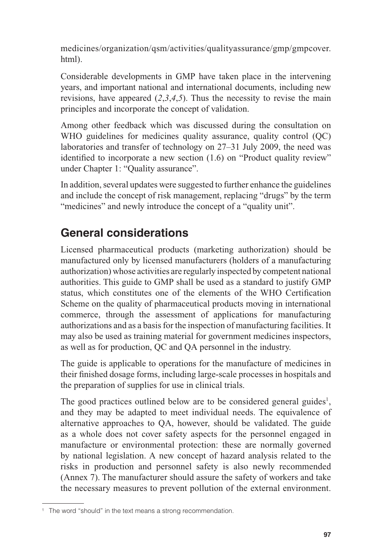medicines/organization/qsm/activities/qualityassurance/gmp/gmpcover. html).

Considerable developments in GMP have taken place in the intervening years, and important national and international documents, including new revisions, have appeared (*2*,*3*,*4*,*5*). Thus the necessity to revise the main principles and incorporate the concept of validation.

Among other feedback which was discussed during the consultation on WHO guidelines for medicines quality assurance, quality control (QC) laboratories and transfer of technology on 27–31 July 2009, the need was identified to incorporate a new section  $(1.6)$  on "Product quality review" under Chapter 1: "Quality assurance".

In addition, several updates were suggested to further enhance the guidelines and include the concept of risk management, replacing "drugs" by the term "medicines" and newly introduce the concept of a "quality unit".

# **General considerations**

Licensed pharmaceutical products (marketing authorization) should be manufactured only by licensed manufacturers (holders of a manufacturing authorization) whose activities are regularly inspected by competent national authorities. This guide to GMP shall be used as a standard to justify GMP status, which constitutes one of the elements of the WHO Certification Scheme on the quality of pharmaceutical products moving in international commerce, through the assessment of applications for manufacturing authorizations and as a basis for the inspection of manufacturing facilities. It may also be used as training material for government medicines inspectors, as well as for production, QC and QA personnel in the industry.

The guide is applicable to operations for the manufacture of medicines in their finished dosage forms, including large-scale processes in hospitals and the preparation of supplies for use in clinical trials.

The good practices outlined below are to be considered general guides<sup>1</sup> and they may be adapted to meet individual needs. The equivalence of alternative approaches to QA, however, should be validated. The guide as a whole does not cover safety aspects for the personnel engaged in manufacture or environmental protection: these are normally governed by national legislation. A new concept of hazard analysis related to the risks in production and personnel safety is also newly recommended (Annex 7). The manufacturer should assure the safety of workers and take the necessary measures to prevent pollution of the external environment.

<sup>&</sup>lt;sup>1</sup> The word "should" in the text means a strong recommendation.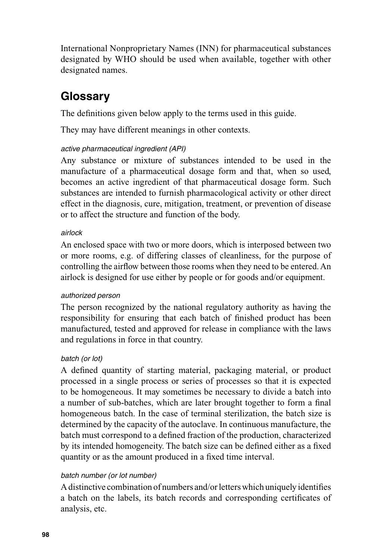International Nonproprietary Names (INN) for pharmaceutical substances designated by WHO should be used when available, together with other designated names.

# **Glossary**

The definitions given below apply to the terms used in this guide.

They may have different meanings in other contexts.

## active pharmaceutical ingredient (API)

Any substance or mixture of substances intended to be used in the manufacture of a pharmaceutical dosage form and that, when so used, becomes an active ingredient of that pharmaceutical dosage form. Such substances are intended to furnish pharmacological activity or other direct effect in the diagnosis, cure, mitigation, treatment, or prevention of disease or to affect the structure and function of the body.

## airlock

An enclosed space with two or more doors, which is interposed between two or more rooms, e.g. of differing classes of cleanliness, for the purpose of controlling the airflow between those rooms when they need to be entered. An airlock is designed for use either by people or for goods and/or equipment.

## authorized person

The person recognized by the national regulatory authority as having the responsibility for ensuring that each batch of finished product has been manufactured, tested and approved for release in compliance with the laws and regulations in force in that country.

## batch (or lot)

A defined quantity of starting material, packaging material, or product processed in a single process or series of processes so that it is expected to be homogeneous. It may sometimes be necessary to divide a batch into a number of sub-batches, which are later brought together to form a final homogeneous batch. In the case of terminal sterilization, the batch size is determined by the capacity of the autoclave. In continuous manufacture, the batch must correspond to a defined fraction of the production, characterized by its intended homogeneity. The batch size can be defined either as a fixed quantity or as the amount produced in a fixed time interval.

## batch number (or lot number)

A distinctive combination of numbers and/or letters which uniquely identifies a batch on the labels, its batch records and corresponding certificates of analysis, etc.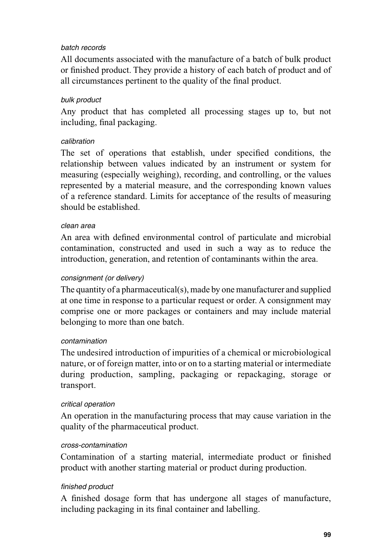### batch records

All documents associated with the manufacture of a batch of bulk product or finished product. They provide a history of each batch of product and of all circumstances pertinent to the quality of the final product.

### bulk product

Any product that has completed all processing stages up to, but not including, final packaging.

### calibration

The set of operations that establish, under specified conditions, the relationship between values indicated by an instrument or system for measuring (especially weighing), recording, and controlling, or the values represented by a material measure, and the corresponding known values of a reference standard. Limits for acceptance of the results of measuring should be established.

### clean area

An area with defined environmental control of particulate and microbial contamination, constructed and used in such a way as to reduce the introduction, generation, and retention of contaminants within the area.

### consignment (or delivery)

The quantity of a pharmaceutical(s), made by one manufacturer and supplied at one time in response to a particular request or order. A consignment may comprise one or more packages or containers and may include material belonging to more than one batch.

### contamination

The undesired introduction of impurities of a chemical or microbiological nature, or of foreign matter, into or on to a starting material or intermediate during production, sampling, packaging or repackaging, storage or transport.

### critical operation

An operation in the manufacturing process that may cause variation in the quality of the pharmaceutical product.

### cross-contamination

Contamination of a starting material, intermediate product or finished product with another starting material or product during production.

## finished product

A finished dosage form that has undergone all stages of manufacture, including packaging in its final container and labelling.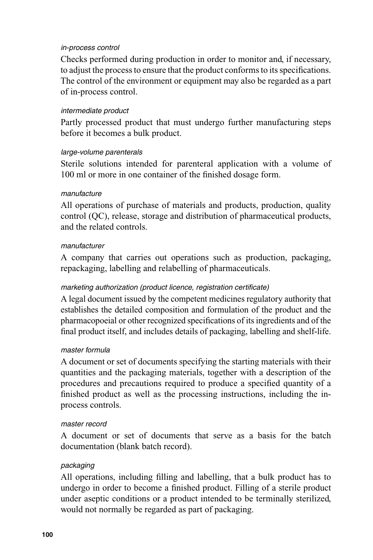### in-process control

Checks performed during production in order to monitor and, if necessary, to adjust the process to ensure that the product conforms to its specifications. The control of the environment or equipment may also be regarded as a part of in-process control.

#### intermediate product

Partly processed product that must undergo further manufacturing steps before it becomes a bulk product.

#### large-volume parenterals

Sterile solutions intended for parenteral application with a volume of 100 ml or more in one container of the finished dosage form.

#### manufacture

All operations of purchase of materials and products, production, quality control (QC), release, storage and distribution of pharmaceutical products, and the related controls.

#### manufacturer

A company that carries out operations such as production, packaging, repackaging, labelling and relabelling of pharmaceuticals.

### marketing authorization (product licence, registration certificate)

A legal document issued by the competent medicines regulatory authority that establishes the detailed composition and formulation of the product and the pharmacopoeial or other recognized specifications of its ingredients and of the final product itself, and includes details of packaging, labelling and shelf-life.

### master formula

A document or set of documents specifying the starting materials with their quantities and the packaging materials, together with a description of the procedures and precautions required to produce a specified quantity of a finished product as well as the processing instructions, including the inprocess controls.

#### master record

A document or set of documents that serve as a basis for the batch documentation (blank batch record).

#### packaging

All operations, including filling and labelling, that a bulk product has to undergo in order to become a finished product. Filling of a sterile product under aseptic conditions or a product intended to be terminally sterilized, would not normally be regarded as part of packaging.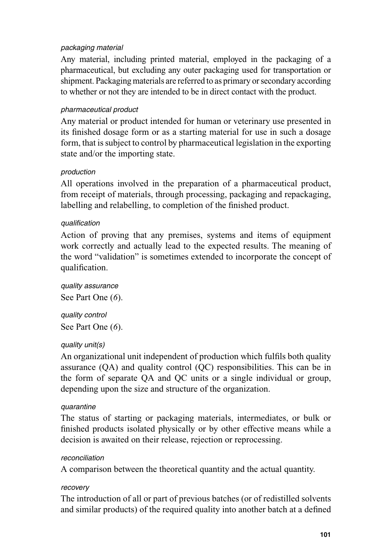### packaging material

Any material, including printed material, employed in the packaging of a pharmaceutical, but excluding any outer packaging used for transportation or shipment. Packaging materials are referred to as primary or secondary according to whether or not they are intended to be in direct contact with the product.

### pharmaceutical product

Any material or product intended for human or veterinary use presented in its finished dosage form or as a starting material for use in such a dosage form, that is subject to control by pharmaceutical legislation in the exporting state and/or the importing state.

### production

All operations involved in the preparation of a pharmaceutical product, from receipt of materials, through processing, packaging and repackaging, labelling and relabelling, to completion of the finished product.

### *<u>dualification</u>*

Action of proving that any premises, systems and items of equipment work correctly and actually lead to the expected results. The meaning of the word "validation" is sometimes extended to incorporate the concept of qualification.

quality assurance See Part One (*6*).

quality control See Part One (*6*).

### quality unit(s)

An organizational unit independent of production which fulfils both quality assurance (QA) and quality control (QC) responsibilities. This can be in the form of separate QA and QC units or a single individual or group, depending upon the size and structure of the organization.

### quarantine

The status of starting or packaging materials, intermediates, or bulk or finished products isolated physically or by other effective means while a decision is awaited on their release, rejection or reprocessing.

### reconciliation

A comparison between the theoretical quantity and the actual quantity.

### recovery

The introduction of all or part of previous batches (or of redistilled solvents and similar products) of the required quality into another batch at a defined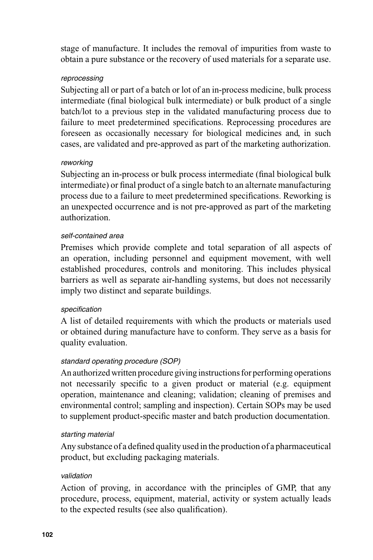stage of manufacture. It includes the removal of impurities from waste to obtain a pure substance or the recovery of used materials for a separate use.

### reprocessing

Subjecting all or part of a batch or lot of an in-process medicine, bulk process intermediate (final biological bulk intermediate) or bulk product of a single batch/lot to a previous step in the validated manufacturing process due to failure to meet predetermined specifications. Reprocessing procedures are foreseen as occasionally necessary for biological medicines and, in such cases, are validated and pre-approved as part of the marketing authorization.

### reworking

Subjecting an in-process or bulk process intermediate (final biological bulk intermediate) or final product of a single batch to an alternate manufacturing process due to a failure to meet predetermined specifications. Reworking is an unexpected occurrence and is not pre-approved as part of the marketing authorization.

### self-contained area

Premises which provide complete and total separation of all aspects of an operation, including personnel and equipment movement, with well established procedures, controls and monitoring. This includes physical barriers as well as separate air-handling systems, but does not necessarily imply two distinct and separate buildings.

### specification

A list of detailed requirements with which the products or materials used or obtained during manufacture have to conform. They serve as a basis for quality evaluation.

## standard operating procedure (SOP)

An authorized written procedure giving instructions for performing operations not necessarily specific to a given product or material (e.g. equipment operation, maintenance and cleaning; validation; cleaning of premises and environmental control; sampling and inspection). Certain SOPs may be used to supplement product-specific master and batch production documentation.

### starting material

Any substance of a defined quality used in the production of a pharmaceutical product, but excluding packaging materials.

## validation

Action of proving, in accordance with the principles of GMP, that any procedure, process, equipment, material, activity or system actually leads to the expected results (see also qualification).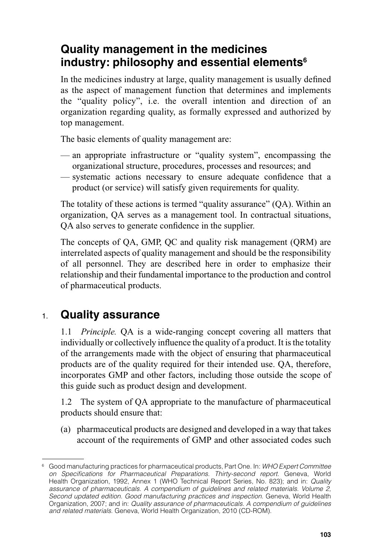# **Quality management in the medicines industry: philosophy and essential elements62<sup>6</sup>**

In the medicines industry at large, quality management is usually defined as the aspect of management function that determines and implements the "quality policy", i.e. the overall intention and direction of an organization regarding quality, as formally expressed and authorized by top management.

The basic elements of quality management are:

- an appropriate infrastructure or "quality system", encompassing the organizational structure, procedures, processes and resources; and
- systematic actions necessary to ensure adequate confidence that a product (or service) will satisfy given requirements for quality.

The totality of these actions is termed "quality assurance" (QA). Within an organization, QA serves as a management tool. In contractual situations, QA also serves to generate confidence in the supplier.

The concepts of QA, GMP, QC and quality risk management (QRM) are interrelated aspects of quality management and should be the responsibility of all personnel. They are described here in order to emphasize their relationship and their fundamental importance to the production and control of pharmaceutical products.

# 1. **Quality assurance**

1.1 *Principle.* QA is a wide-ranging concept covering all matters that individually or collectively influence the quality of a product. It is the totality of the arrangements made with the object of ensuring that pharmaceutical products are of the quality required for their intended use. QA, therefore, incorporates GMP and other factors, including those outside the scope of this guide such as product design and development.

1.2 The system of QA appropriate to the manufacture of pharmaceutical products should ensure that:

(a) pharmaceutical products are designed and developed in a way that takes account of the requirements of GMP and other associated codes such

<sup>&</sup>lt;sup>6</sup> Good manufacturing practices for pharmaceutical products, Part One. In: WHO Expert Committee on Specifications for Pharmaceutical Preparations. Thirty-second report. Geneva, World Health Organization, 1992, Annex 1 (WHO Technical Report Series, No. 823); and in: Quality assurance of pharmaceuticals. A compendium of guidelines and related materials. Volume 2, Second updated edition. Good manufacturing practices and inspection. Geneva, World Health Organization, 2007; and in: Quality assurance of pharmaceuticals. A compendium of guidelines and related materials. Geneva, World Health Organization, 2010 (CD-ROM).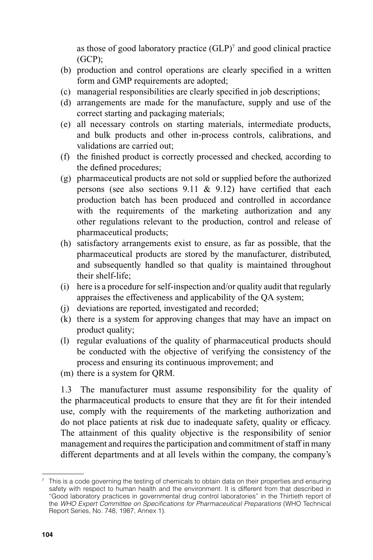as those of good laboratory practice  $(GLP)^7$  and good clinical practice (GCP);

- (b) production and control operations are clearly specified in a written form and GMP requirements are adopted;
- (c) managerial responsibilities are clearly specified in job descriptions;
- (d) arrangements are made for the manufacture, supply and use of the correct starting and packaging materials;
- (e) all necessary controls on starting materials, intermediate products, and bulk products and other in-process controls, calibrations, and validations are carried out;
- (f) the finished product is correctly processed and checked, according to the defined procedures:
- (g) pharmaceutical products are not sold or supplied before the authorized persons (see also sections  $9.11 \& 9.12$ ) have certified that each production batch has been produced and controlled in accordance with the requirements of the marketing authorization and any other regulations relevant to the production, control and release of pharmaceutical products;
- (h) satisfactory arrangements exist to ensure, as far as possible, that the pharmaceutical products are stored by the manufacturer, distributed, and subsequently handled so that quality is maintained throughout their shelf-life;
- (i) here is a procedure for self-inspection and/or quality audit that regularly appraises the effectiveness and applicability of the QA system;
- (j) deviations are reported, investigated and recorded;
- (k) there is a system for approving changes that may have an impact on product quality;
- (l) regular evaluations of the quality of pharmaceutical products should be conducted with the objective of verifying the consistency of the process and ensuring its continuous improvement; and
- (m) there is a system for QRM.

1.3 The manufacturer must assume responsibility for the quality of the pharmaceutical products to ensure that they are fit for their intended use, comply with the requirements of the marketing authorization and do not place patients at risk due to inadequate safety, quality or efficacy. The attainment of this quality objective is the responsibility of senior management and requires the participation and commitment of staff in many different departments and at all levels within the company, the company's

<sup>&</sup>lt;sup>7</sup> This is a code governing the testing of chemicals to obtain data on their properties and ensuring safety with respect to human health and the environment. It is different from that described in "Good laboratory practices in governmental drug control laboratories" in the Thirtieth report of the WHO Expert Committee on Specifications for Pharmaceutical Preparations (WHO Technical Report Series, No. 748, 1987, Annex 1).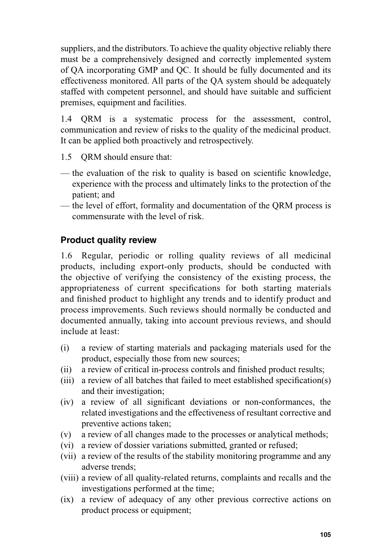suppliers, and the distributors. To achieve the quality objective reliably there must be a comprehensively designed and correctly implemented system of QA incorporating GMP and QC. It should be fully documented and its effectiveness monitored. All parts of the QA system should be adequately staffed with competent personnel, and should have suitable and sufficient premises, equipment and facilities.

1.4 QRM is a systematic process for the assessment, control, communication and review of risks to the quality of the medicinal product. It can be applied both proactively and retrospectively.

- 1.5 QRM should ensure that:
- the evaluation of the risk to quality is based on scientific knowledge, experience with the process and ultimately links to the protection of the patient; and
- the level of effort, formality and documentation of the QRM process is commensurate with the level of risk.

## **Product quality review**

1.6 Regular, periodic or rolling quality reviews of all medicinal products, including export-only products, should be conducted with the objective of verifying the consistency of the existing process, the appropriateness of current specifications for both starting materials and finished product to highlight any trends and to identify product and process improvements. Such reviews should normally be conducted and documented annually, taking into account previous reviews, and should include at least:

- (i) a review of starting materials and packaging materials used for the product, especially those from new sources;
- (ii) a review of critical in-process controls and finished product results;
- (iii) a review of all batches that failed to meet established specification(s) and their investigation;
- (iv) a review of all significant deviations or non-conformances, the related investigations and the effectiveness of resultant corrective and preventive actions taken;
- (v) a review of all changes made to the processes or analytical methods;
- (vi) a review of dossier variations submitted, granted or refused;
- (vii) a review of the results of the stability monitoring programme and any adverse trends;
- (viii) a review of all quality-related returns, complaints and recalls and the investigations performed at the time;
- (ix) a review of adequacy of any other previous corrective actions on product process or equipment;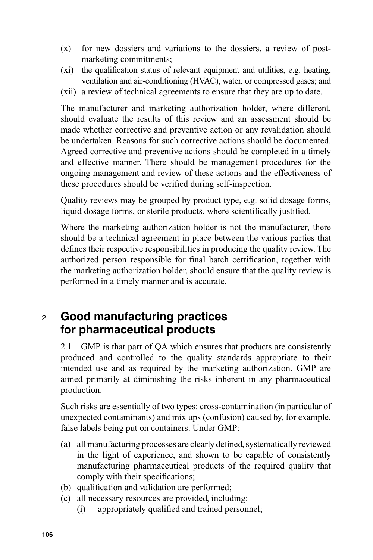- (x) for new dossiers and variations to the dossiers, a review of postmarketing commitments;
- $(x_i)$  the qualification status of relevant equipment and utilities, e.g. heating, ventilation and air-conditioning (HVAC), water, or compressed gases; and
- (xii) a review of technical agreements to ensure that they are up to date.

The manufacturer and marketing authorization holder, where different, should evaluate the results of this review and an assessment should be made whether corrective and preventive action or any revalidation should be undertaken. Reasons for such corrective actions should be documented. Agreed corrective and preventive actions should be completed in a timely and effective manner. There should be management procedures for the ongoing management and review of these actions and the effectiveness of these procedures should be verified during self-inspection.

Quality reviews may be grouped by product type, e.g. solid dosage forms, liquid dosage forms, or sterile products, where scientifically justified.

Where the marketing authorization holder is not the manufacturer, there should be a technical agreement in place between the various parties that defines their respective responsibilities in producing the quality review. The authorized person responsible for final batch certification, together with the marketing authorization holder, should ensure that the quality review is performed in a timely manner and is accurate.

# 2. **Good manufacturing practices for pharmaceutical products**

2.1 GMP is that part of QA which ensures that products are consistently produced and controlled to the quality standards appropriate to their intended use and as required by the marketing authorization. GMP are aimed primarily at diminishing the risks inherent in any pharmaceutical production.

Such risks are essentially of two types: cross-contamination (in particular of unexpected contaminants) and mix ups (confusion) caused by, for example, false labels being put on containers. Under GMP:

- (a) all manufacturing processes are clearly defined, systematically reviewed in the light of experience, and shown to be capable of consistently manufacturing pharmaceutical products of the required quality that comply with their specifications;
- (b) qualification and validation are performed;
- (c) all necessary resources are provided, including:
	- $(i)$  appropriately qualified and trained personnel;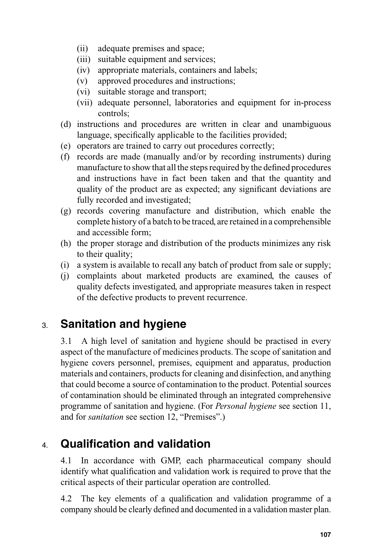- (ii) adequate premises and space;
- (iii) suitable equipment and services;
- (iv) appropriate materials, containers and labels;
- (v) approved procedures and instructions;
- (vi) suitable storage and transport;
- (vii) adequate personnel, laboratories and equipment for in-process controls;
- (d) instructions and procedures are written in clear and unambiguous language, specifically applicable to the facilities provided;
- (e) operators are trained to carry out procedures correctly;
- (f) records are made (manually and/or by recording instruments) during manufacture to show that all the steps required by the defined procedures and instructions have in fact been taken and that the quantity and quality of the product are as expected; any significant deviations are fully recorded and investigated;
- (g) records covering manufacture and distribution, which enable the complete history of a batch to be traced, are retained in a comprehensible and accessible form;
- (h) the proper storage and distribution of the products minimizes any risk to their quality;
- (i) a system is available to recall any batch of product from sale or supply;
- (j) complaints about marketed products are examined, the causes of quality defects investigated, and appropriate measures taken in respect of the defective products to prevent recurrence.

# 3. **Sanitation and hygiene**

3.1 A high level of sanitation and hygiene should be practised in every aspect of the manufacture of medicines products. The scope of sanitation and hygiene covers personnel, premises, equipment and apparatus, production materials and containers, products for cleaning and disinfection, and anything that could become a source of contamination to the product. Potential sources of contamination should be eliminated through an integrated comprehensive programme of sanitation and hygiene. (For *Personal hygiene* see section 11, and for *sanitation* see section 12, "Premises".)

# 4. **Qualifi cation and validation**

4.1 In accordance with GMP, each pharmaceutical company should identify what qualification and validation work is required to prove that the critical aspects of their particular operation are controlled.

4.2 The key elements of a qualification and validation programme of a company should be clearly defined and documented in a validation master plan.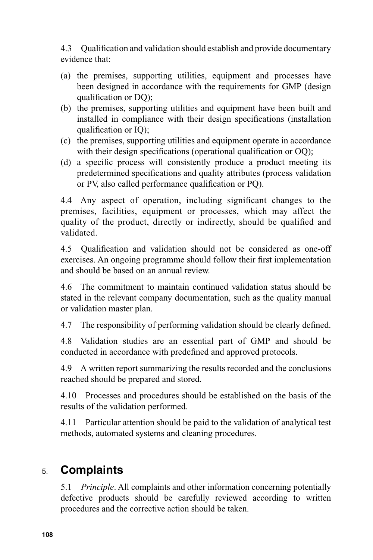4.3 Oualification and validation should establish and provide documentary evidence that:

- (a) the premises, supporting utilities, equipment and processes have been designed in accordance with the requirements for GMP (design qualification or DO):
- (b) the premises, supporting utilities and equipment have been built and installed in compliance with their design specifications (installation qualification or IO);
- (c) the premises, supporting utilities and equipment operate in accordance with their design specifications (operational qualification or  $OO$ );
- (d) a specific process will consistently produce a product meeting its predetermined specifications and quality attributes (process validation or PV, also called performance qualification or PQ).

4.4 Any aspect of operation, including significant changes to the premises, facilities, equipment or processes, which may affect the quality of the product, directly or indirectly, should be qualified and validated.

4.5 Qualification and validation should not be considered as one-off exercises. An ongoing programme should follow their first implementation and should be based on an annual review.

4.6 The commitment to maintain continued validation status should be stated in the relevant company documentation, such as the quality manual or validation master plan.

4.7 The responsibility of performing validation should be clearly defined.

4.8 Validation studies are an essential part of GMP and should be conducted in accordance with predefined and approved protocols.

4.9 A written report summarizing the results recorded and the conclusions reached should be prepared and stored.

4.10 Processes and procedures should be established on the basis of the results of the validation performed.

4.11 Particular attention should be paid to the validation of analytical test methods, automated systems and cleaning procedures.

# 5. **Complaints**

5.1 *Principle*. All complaints and other information concerning potentially defective products should be carefully reviewed according to written procedures and the corrective action should be taken.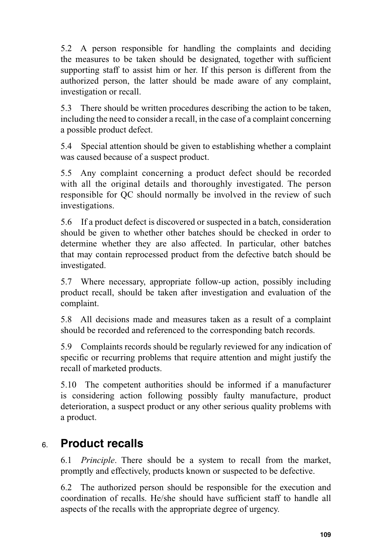5.2 A person responsible for handling the complaints and deciding the measures to be taken should be designated, together with sufficient supporting staff to assist him or her. If this person is different from the authorized person, the latter should be made aware of any complaint, investigation or recall.

5.3 There should be written procedures describing the action to be taken, including the need to consider a recall, in the case of a complaint concerning a possible product defect.

5.4 Special attention should be given to establishing whether a complaint was caused because of a suspect product.

5.5 Any complaint concerning a product defect should be recorded with all the original details and thoroughly investigated. The person responsible for QC should normally be involved in the review of such investigations.

5.6 If a product defect is discovered or suspected in a batch, consideration should be given to whether other batches should be checked in order to determine whether they are also affected. In particular, other batches that may contain reprocessed product from the defective batch should be investigated.

5.7 Where necessary, appropriate follow-up action, possibly including product recall, should be taken after investigation and evaluation of the complaint.

5.8 All decisions made and measures taken as a result of a complaint should be recorded and referenced to the corresponding batch records.

5.9 Complaints records should be regularly reviewed for any indication of specific or recurring problems that require attention and might justify the recall of marketed products.

5.10 The competent authorities should be informed if a manufacturer is considering action following possibly faulty manufacture, product deterioration, a suspect product or any other serious quality problems with a product.

# 6. **Product recalls**

6.1 *Principle*. There should be a system to recall from the market, promptly and effectively, products known or suspected to be defective.

6.2 The authorized person should be responsible for the execution and coordination of recalls. He/she should have sufficient staff to handle all aspects of the recalls with the appropriate degree of urgency.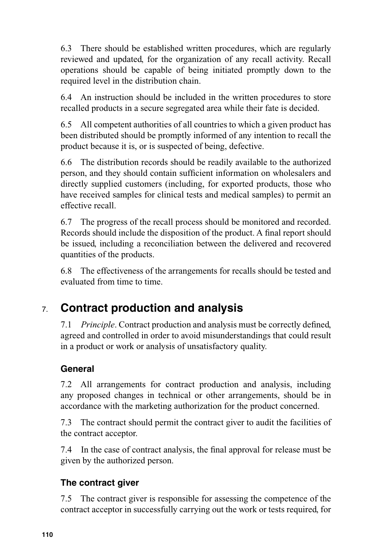6.3 There should be established written procedures, which are regularly reviewed and updated, for the organization of any recall activity. Recall operations should be capable of being initiated promptly down to the required level in the distribution chain.

6.4 An instruction should be included in the written procedures to store recalled products in a secure segregated area while their fate is decided.

6.5 All competent authorities of all countries to which a given product has been distributed should be promptly informed of any intention to recall the product because it is, or is suspected of being, defective.

6.6 The distribution records should be readily available to the authorized person, and they should contain sufficient information on wholesalers and directly supplied customers (including, for exported products, those who have received samples for clinical tests and medical samples) to permit an effective recall.

6.7 The progress of the recall process should be monitored and recorded. Records should include the disposition of the product. A final report should be issued, including a reconciliation between the delivered and recovered quantities of the products.

6.8 The effectiveness of the arrangements for recalls should be tested and evaluated from time to time.

# 7. **Contract production and analysis**

7.1 *Principle*. Contract production and analysis must be correctly defined, agreed and controlled in order to avoid misunderstandings that could result in a product or work or analysis of unsatisfactory quality.

# **General**

7.2 All arrangements for contract production and analysis, including any proposed changes in technical or other arrangements, should be in accordance with the marketing authorization for the product concerned.

7.3 The contract should permit the contract giver to audit the facilities of the contract acceptor.

7.4 In the case of contract analysis, the final approval for release must be given by the authorized person.

# **The contract giver**

7.5 The contract giver is responsible for assessing the competence of the contract acceptor in successfully carrying out the work or tests required, for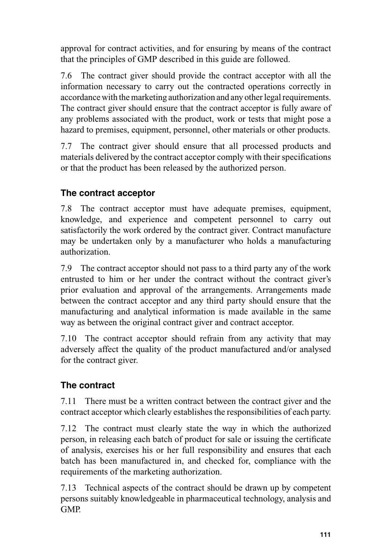approval for contract activities, and for ensuring by means of the contract that the principles of GMP described in this guide are followed.

7.6 The contract giver should provide the contract acceptor with all the information necessary to carry out the contracted operations correctly in accordance with the marketing authorization and any other legal requirements. The contract giver should ensure that the contract acceptor is fully aware of any problems associated with the product, work or tests that might pose a hazard to premises, equipment, personnel, other materials or other products.

7.7 The contract giver should ensure that all processed products and materials delivered by the contract acceptor comply with their specifications or that the product has been released by the authorized person.

## **The contract acceptor**

7.8 The contract acceptor must have adequate premises, equipment, knowledge, and experience and competent personnel to carry out satisfactorily the work ordered by the contract giver. Contract manufacture may be undertaken only by a manufacturer who holds a manufacturing authorization.

7.9 The contract acceptor should not pass to a third party any of the work entrusted to him or her under the contract without the contract giver's prior evaluation and approval of the arrangements. Arrangements made between the contract acceptor and any third party should ensure that the manufacturing and analytical information is made available in the same way as between the original contract giver and contract acceptor.

7.10 The contract acceptor should refrain from any activity that may adversely affect the quality of the product manufactured and/or analysed for the contract giver.

## **The contract**

7.11 There must be a written contract between the contract giver and the contract acceptor which clearly establishes the responsibilities of each party.

7.12 The contract must clearly state the way in which the authorized person, in releasing each batch of product for sale or issuing the certificate of analysis, exercises his or her full responsibility and ensures that each batch has been manufactured in, and checked for, compliance with the requirements of the marketing authorization.

7.13 Technical aspects of the contract should be drawn up by competent persons suitably knowledgeable in pharmaceutical technology, analysis and GMP.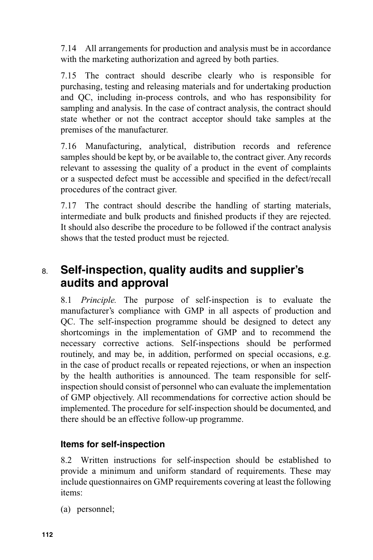7.14 All arrangements for production and analysis must be in accordance with the marketing authorization and agreed by both parties.

7.15 The contract should describe clearly who is responsible for purchasing, testing and releasing materials and for undertaking production and QC, including in-process controls, and who has responsibility for sampling and analysis. In the case of contract analysis, the contract should state whether or not the contract acceptor should take samples at the premises of the manufacturer.

7.16 Manufacturing, analytical, distribution records and reference samples should be kept by, or be available to, the contract giver. Any records relevant to assessing the quality of a product in the event of complaints or a suspected defect must be accessible and specified in the defect/recall procedures of the contract giver.

7.17 The contract should describe the handling of starting materials, intermediate and bulk products and finished products if they are rejected. It should also describe the procedure to be followed if the contract analysis shows that the tested product must be rejected.

# 8. **Self-inspection, quality audits and supplier's audits and approval**

8.1 *Principle.* The purpose of self-inspection is to evaluate the manufacturer's compliance with GMP in all aspects of production and QC. The self-inspection programme should be designed to detect any shortcomings in the implementation of GMP and to recommend the necessary corrective actions. Self-inspections should be performed routinely, and may be, in addition, performed on special occasions, e.g. in the case of product recalls or repeated rejections, or when an inspection by the health authorities is announced. The team responsible for selfinspection should consist of personnel who can evaluate the implementation of GMP objectively. All recommendations for corrective action should be implemented. The procedure for self-inspection should be documented, and there should be an effective follow-up programme.

## **Items for self-inspection**

8.2 Written instructions for self-inspection should be established to provide a minimum and uniform standard of requirements. These may include questionnaires on GMP requirements covering at least the following items:

(a) personnel;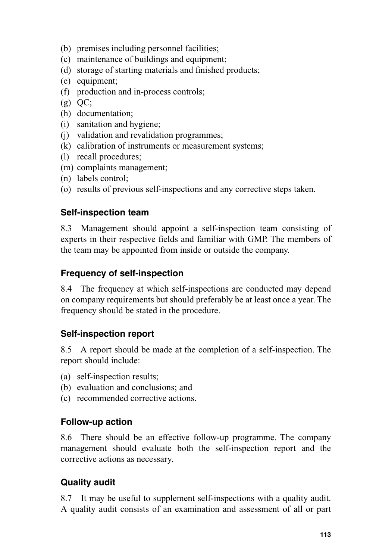- (b) premises including personnel facilities;
- (c) maintenance of buildings and equipment;
- (d) storage of starting materials and finished products;
- (e) equipment;
- (f) production and in-process controls;
- $(g)$  OC:
- (h) documentation;
- (i) sanitation and hygiene;
- (j) validation and revalidation programmes;
- (k) calibration of instruments or measurement systems;
- (l) recall procedures;
- (m) complaints management;
- (n) labels control;
- (o) results of previous self-inspections and any corrective steps taken.

## **Self-inspection team**

8.3 Management should appoint a self-inspection team consisting of experts in their respective fields and familiar with GMP. The members of the team may be appointed from inside or outside the company.

## **Frequency of self-inspection**

8.4 The frequency at which self-inspections are conducted may depend on company requirements but should preferably be at least once a year. The frequency should be stated in the procedure.

## **Self-inspection report**

8.5 A report should be made at the completion of a self-inspection. The report should include:

- (a) self-inspection results;
- (b) evaluation and conclusions; and
- (c) recommended corrective actions.

## **Follow-up action**

8.6 There should be an effective follow-up programme. The company management should evaluate both the self-inspection report and the corrective actions as necessary.

## **Quality audit**

8.7 It may be useful to supplement self-inspections with a quality audit. A quality audit consists of an examination and assessment of all or part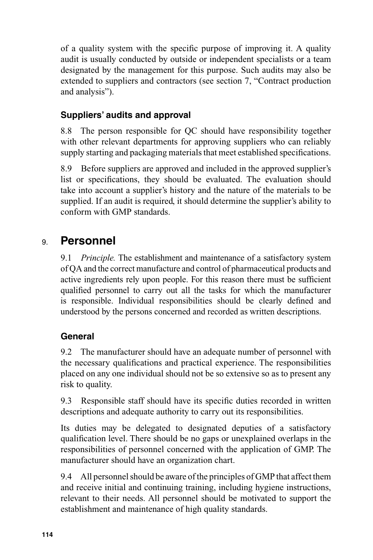of a quality system with the specific purpose of improving it. A quality audit is usually conducted by outside or independent specialists or a team designated by the management for this purpose. Such audits may also be extended to suppliers and contractors (see section 7, "Contract production and analysis").

## **Suppliers' audits and approval**

8.8 The person responsible for QC should have responsibility together with other relevant departments for approving suppliers who can reliably supply starting and packaging materials that meet established specifications.

8.9 Before suppliers are approved and included in the approved supplier's list or specifications, they should be evaluated. The evaluation should take into account a supplier's history and the nature of the materials to be supplied. If an audit is required, it should determine the supplier's ability to conform with GMP standards.

# 9. **Personnel**

9.1 *Principle.* The establishment and maintenance of a satisfactory system of QA and the correct manufacture and control of pharmaceutical products and active ingredients rely upon people. For this reason there must be sufficient qualified personnel to carry out all the tasks for which the manufacturer is responsible. Individual responsibilities should be clearly defined and understood by the persons concerned and recorded as written descriptions.

## **General**

9.2 The manufacturer should have an adequate number of personnel with the necessary qualifications and practical experience. The responsibilities placed on any one individual should not be so extensive so as to present any risk to quality.

9.3 Responsible staff should have its specific duties recorded in written descriptions and adequate authority to carry out its responsibilities.

Its duties may be delegated to designated deputies of a satisfactory qualification level. There should be no gaps or unexplained overlaps in the responsibilities of personnel concerned with the application of GMP. The manufacturer should have an organization chart.

9.4 All personnel should be aware of the principles of GMP that affect them and receive initial and continuing training, including hygiene instructions, relevant to their needs. All personnel should be motivated to support the establishment and maintenance of high quality standards.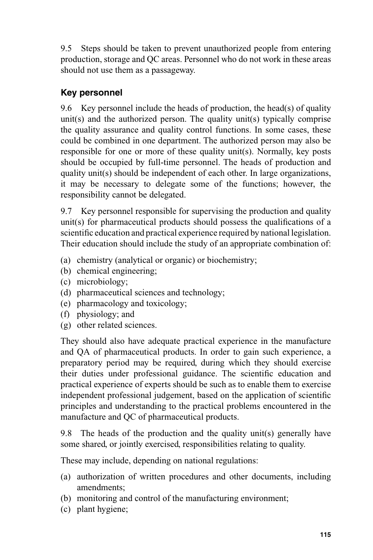9.5 Steps should be taken to prevent unauthorized people from entering production, storage and QC areas. Personnel who do not work in these areas should not use them as a passageway.

## **Key personnel**

9.6 Key personnel include the heads of production, the head(s) of quality unit(s) and the authorized person. The quality unit(s) typically comprise the quality assurance and quality control functions. In some cases, these could be combined in one department. The authorized person may also be responsible for one or more of these quality unit(s). Normally, key posts should be occupied by full-time personnel. The heads of production and quality unit(s) should be independent of each other. In large organizations, it may be necessary to delegate some of the functions; however, the responsibility cannot be delegated.

9.7 Key personnel responsible for supervising the production and quality unit(s) for pharmaceutical products should possess the qualifications of a scientific education and practical experience required by national legislation. Their education should include the study of an appropriate combination of:

- (a) chemistry (analytical or organic) or biochemistry;
- (b) chemical engineering;
- (c) microbiology;
- (d) pharmaceutical sciences and technology;
- (e) pharmacology and toxicology;
- (f) physiology; and
- (g) other related sciences.

They should also have adequate practical experience in the manufacture and QA of pharmaceutical products. In order to gain such experience, a preparatory period may be required, during which they should exercise their duties under professional guidance. The scientific education and practical experience of experts should be such as to enable them to exercise independent professional judgement, based on the application of scientific principles and understanding to the practical problems encountered in the manufacture and QC of pharmaceutical products.

9.8 The heads of the production and the quality unit(s) generally have some shared, or jointly exercised, responsibilities relating to quality.

These may include, depending on national regulations:

- (a) authorization of written procedures and other documents, including amendments;
- (b) monitoring and control of the manufacturing environment;
- (c) plant hygiene;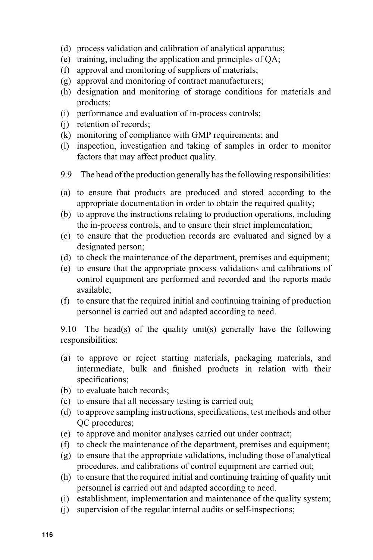- (d) process validation and calibration of analytical apparatus;
- (e) training, including the application and principles of QA;
- (f) approval and monitoring of suppliers of materials;
- (g) approval and monitoring of contract manufacturers;
- (h) designation and monitoring of storage conditions for materials and products;
- (i) performance and evaluation of in-process controls;
- (j) retention of records;
- (k) monitoring of compliance with GMP requirements; and
- (l) inspection, investigation and taking of samples in order to monitor factors that may affect product quality.
- 9.9 The head of the production generally has the following responsibilities:
- (a) to ensure that products are produced and stored according to the appropriate documentation in order to obtain the required quality;
- (b) to approve the instructions relating to production operations, including the in-process controls, and to ensure their strict implementation;
- (c) to ensure that the production records are evaluated and signed by a designated person;
- (d) to check the maintenance of the department, premises and equipment;
- (e) to ensure that the appropriate process validations and calibrations of control equipment are performed and recorded and the reports made available;
- (f) to ensure that the required initial and continuing training of production personnel is carried out and adapted according to need.

9.10 The head(s) of the quality unit(s) generally have the following responsibilities:

- (a) to approve or reject starting materials, packaging materials, and intermediate, bulk and finished products in relation with their specifications;
- (b) to evaluate batch records;
- (c) to ensure that all necessary testing is carried out;
- (d) to approve sampling instructions, specifications, test methods and other OC procedures;
- (e) to approve and monitor analyses carried out under contract;
- (f) to check the maintenance of the department, premises and equipment;
- (g) to ensure that the appropriate validations, including those of analytical procedures, and calibrations of control equipment are carried out;
- (h) to ensure that the required initial and continuing training of quality unit personnel is carried out and adapted according to need.
- (i) establishment, implementation and maintenance of the quality system;
- (j) supervision of the regular internal audits or self-inspections;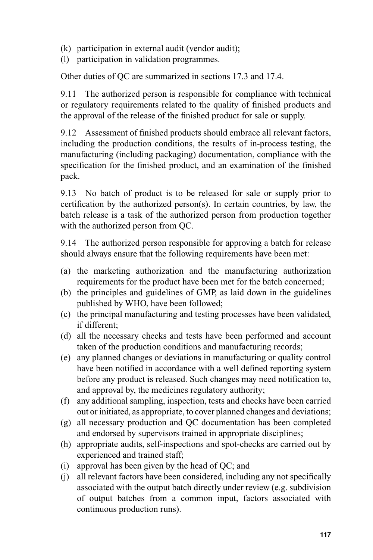- (k) participation in external audit (vendor audit);
- (l) participation in validation programmes.

Other duties of QC are summarized in sections 17.3 and 17.4.

9.11 The authorized person is responsible for compliance with technical or regulatory requirements related to the quality of finished products and the approval of the release of the finished product for sale or supply.

9.12 Assessment of finished products should embrace all relevant factors, including the production conditions, the results of in-process testing, the manufacturing (including packaging) documentation, compliance with the specification for the finished product, and an examination of the finished pack.

9.13 No batch of product is to be released for sale or supply prior to certification by the authorized person(s). In certain countries, by law, the batch release is a task of the authorized person from production together with the authorized person from QC.

9.14 The authorized person responsible for approving a batch for release should always ensure that the following requirements have been met:

- (a) the marketing authorization and the manufacturing authorization requirements for the product have been met for the batch concerned;
- (b) the principles and guidelines of GMP, as laid down in the guidelines published by WHO, have been followed;
- (c) the principal manufacturing and testing processes have been validated, if different;
- (d) all the necessary checks and tests have been performed and account taken of the production conditions and manufacturing records;
- (e) any planned changes or deviations in manufacturing or quality control have been notified in accordance with a well defined reporting system before any product is released. Such changes may need notification to, and approval by, the medicines regulatory authority;
- (f) any additional sampling, inspection, tests and checks have been carried out or initiated, as appropriate, to cover planned changes and deviations;
- (g) all necessary production and QC documentation has been completed and endorsed by supervisors trained in appropriate disciplines;
- (h) appropriate audits, self-inspections and spot-checks are carried out by experienced and trained staff;
- (i) approval has been given by the head of QC; and
- $(i)$  all relevant factors have been considered, including any not specifically associated with the output batch directly under review (e.g. subdivision of output batches from a common input, factors associated with continuous production runs).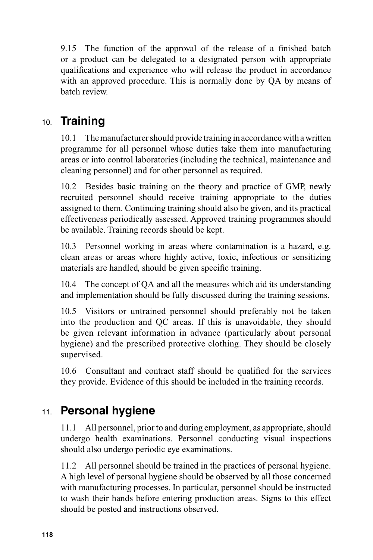9.15 The function of the approval of the release of a finished batch or a product can be delegated to a designated person with appropriate qualifi cations and experience who will release the product in accordance with an approved procedure. This is normally done by QA by means of batch review.

# 10. **Training**

10.1 The manufacturer should provide training in accordance with a written programme for all personnel whose duties take them into manufacturing areas or into control laboratories (including the technical, maintenance and cleaning personnel) and for other personnel as required.

10.2 Besides basic training on the theory and practice of GMP, newly recruited personnel should receive training appropriate to the duties assigned to them. Continuing training should also be given, and its practical effectiveness periodically assessed. Approved training programmes should be available. Training records should be kept.

10.3 Personnel working in areas where contamination is a hazard, e.g. clean areas or areas where highly active, toxic, infectious or sensitizing materials are handled, should be given specific training.

10.4 The concept of QA and all the measures which aid its understanding and implementation should be fully discussed during the training sessions.

10.5 Visitors or untrained personnel should preferably not be taken into the production and QC areas. If this is unavoidable, they should be given relevant information in advance (particularly about personal hygiene) and the prescribed protective clothing. They should be closely supervised.

10.6 Consultant and contract staff should be qualified for the services they provide. Evidence of this should be included in the training records.

# 11. **Personal hygiene**

11.1 All personnel, prior to and during employment, as appropriate, should undergo health examinations. Personnel conducting visual inspections should also undergo periodic eye examinations.

11.2 All personnel should be trained in the practices of personal hygiene. A high level of personal hygiene should be observed by all those concerned with manufacturing processes. In particular, personnel should be instructed to wash their hands before entering production areas. Signs to this effect should be posted and instructions observed.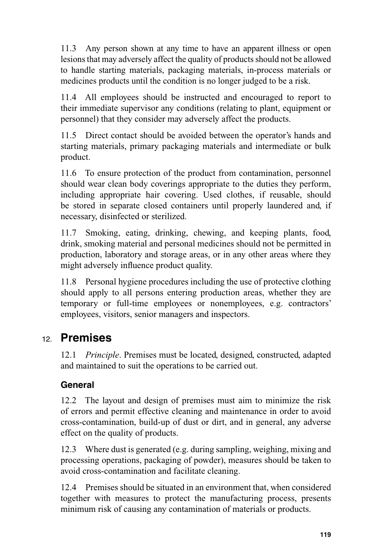11.3 Any person shown at any time to have an apparent illness or open lesions that may adversely affect the quality of products should not be allowed to handle starting materials, packaging materials, in-process materials or medicines products until the condition is no longer judged to be a risk.

11.4 All employees should be instructed and encouraged to report to their immediate supervisor any conditions (relating to plant, equipment or personnel) that they consider may adversely affect the products.

11.5 Direct contact should be avoided between the operator's hands and starting materials, primary packaging materials and intermediate or bulk product.

11.6 To ensure protection of the product from contamination, personnel should wear clean body coverings appropriate to the duties they perform, including appropriate hair covering. Used clothes, if reusable, should be stored in separate closed containers until properly laundered and, if necessary, disinfected or sterilized.

11.7 Smoking, eating, drinking, chewing, and keeping plants, food, drink, smoking material and personal medicines should not be permitted in production, laboratory and storage areas, or in any other areas where they might adversely influence product quality.

11.8 Personal hygiene procedures including the use of protective clothing should apply to all persons entering production areas, whether they are temporary or full-time employees or nonemployees, e.g. contractors' employees, visitors, senior managers and inspectors.

# 12. **Premises**

12.1 *Principle*. Premises must be located, designed, constructed, adapted and maintained to suit the operations to be carried out.

## **General**

12.2 The layout and design of premises must aim to minimize the risk of errors and permit effective cleaning and maintenance in order to avoid cross-contamination, build-up of dust or dirt, and in general, any adverse effect on the quality of products.

12.3 Where dust is generated (e.g. during sampling, weighing, mixing and processing operations, packaging of powder), measures should be taken to avoid cross-contamination and facilitate cleaning.

12.4 Premises should be situated in an environment that, when considered together with measures to protect the manufacturing process, presents minimum risk of causing any contamination of materials or products.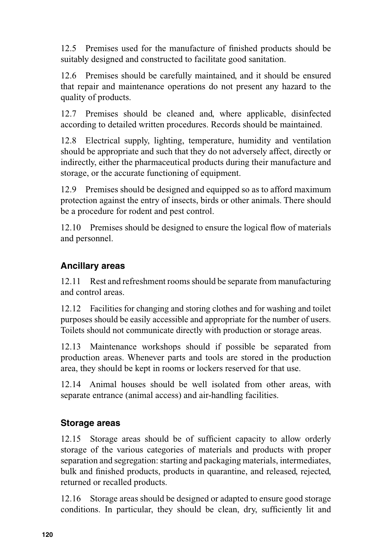12.5 Premises used for the manufacture of finished products should be suitably designed and constructed to facilitate good sanitation.

12.6 Premises should be carefully maintained, and it should be ensured that repair and maintenance operations do not present any hazard to the quality of products.

12.7 Premises should be cleaned and, where applicable, disinfected according to detailed written procedures. Records should be maintained.

12.8 Electrical supply, lighting, temperature, humidity and ventilation should be appropriate and such that they do not adversely affect, directly or indirectly, either the pharmaceutical products during their manufacture and storage, or the accurate functioning of equipment.

12.9 Premises should be designed and equipped so as to afford maximum protection against the entry of insects, birds or other animals. There should be a procedure for rodent and pest control.

12.10 Premises should be designed to ensure the logical flow of materials and personnel.

## **Ancillary areas**

12.11 Rest and refreshment rooms should be separate from manufacturing and control areas.

12.12 Facilities for changing and storing clothes and for washing and toilet purposes should be easily accessible and appropriate for the number of users. Toilets should not communicate directly with production or storage areas.

12.13 Maintenance workshops should if possible be separated from production areas. Whenever parts and tools are stored in the production area, they should be kept in rooms or lockers reserved for that use.

12.14 Animal houses should be well isolated from other areas, with separate entrance (animal access) and air-handling facilities.

## **Storage areas**

12.15 Storage areas should be of sufficient capacity to allow orderly storage of the various categories of materials and products with proper separation and segregation: starting and packaging materials, intermediates, bulk and finished products, products in quarantine, and released, rejected, returned or recalled products.

12.16 Storage areas should be designed or adapted to ensure good storage conditions. In particular, they should be clean, dry, sufficiently lit and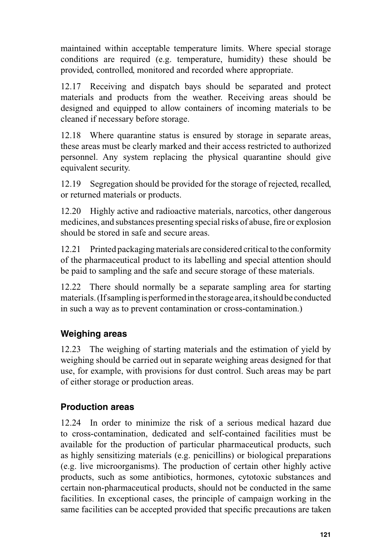maintained within acceptable temperature limits. Where special storage conditions are required (e.g. temperature, humidity) these should be provided, controlled, monitored and recorded where appropriate.

12.17 Receiving and dispatch bays should be separated and protect materials and products from the weather. Receiving areas should be designed and equipped to allow containers of incoming materials to be cleaned if necessary before storage.

12.18 Where quarantine status is ensured by storage in separate areas, these areas must be clearly marked and their access restricted to authorized personnel. Any system replacing the physical quarantine should give equivalent security.

12.19 Segregation should be provided for the storage of rejected, recalled, or returned materials or products.

12.20 Highly active and radioactive materials, narcotics, other dangerous medicines, and substances presenting special risks of abuse, fire or explosion should be stored in safe and secure areas.

12.21 Printed packaging materials are considered critical to the conformity of the pharmaceutical product to its labelling and special attention should be paid to sampling and the safe and secure storage of these materials.

12.22 There should normally be a separate sampling area for starting materials. (If sampling is performed in the storage area, it should be conducted in such a way as to prevent contamination or cross-contamination.)

## **Weighing areas**

12.23 The weighing of starting materials and the estimation of yield by weighing should be carried out in separate weighing areas designed for that use, for example, with provisions for dust control. Such areas may be part of either storage or production areas.

## **Production areas**

12.24 In order to minimize the risk of a serious medical hazard due to cross-contamination, dedicated and self-contained facilities must be available for the production of particular pharmaceutical products, such as highly sensitizing materials (e.g. penicillins) or biological preparations (e.g. live microorganisms). The production of certain other highly active products, such as some antibiotics, hormones, cytotoxic substances and certain non-pharmaceutical products, should not be conducted in the same facilities. In exceptional cases, the principle of campaign working in the same facilities can be accepted provided that specific precautions are taken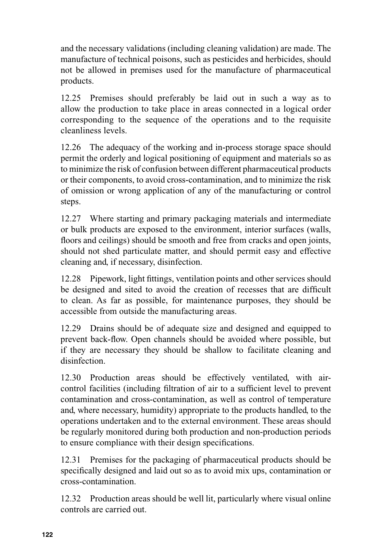and the necessary validations (including cleaning validation) are made. The manufacture of technical poisons, such as pesticides and herbicides, should not be allowed in premises used for the manufacture of pharmaceutical products.

12.25 Premises should preferably be laid out in such a way as to allow the production to take place in areas connected in a logical order corresponding to the sequence of the operations and to the requisite cleanliness levels.

12.26 The adequacy of the working and in-process storage space should permit the orderly and logical positioning of equipment and materials so as to minimize the risk of confusion between different pharmaceutical products or their components, to avoid cross-contamination, and to minimize the risk of omission or wrong application of any of the manufacturing or control steps.

12.27 Where starting and primary packaging materials and intermediate or bulk products are exposed to the environment, interior surfaces (walls, floors and ceilings) should be smooth and free from cracks and open joints, should not shed particulate matter, and should permit easy and effective cleaning and, if necessary, disinfection.

12.28 Pipework, light fittings, ventilation points and other services should be designed and sited to avoid the creation of recesses that are difficult to clean. As far as possible, for maintenance purposes, they should be accessible from outside the manufacturing areas.

12.29 Drains should be of adequate size and designed and equipped to prevent back-flow. Open channels should be avoided where possible, but if they are necessary they should be shallow to facilitate cleaning and disinfection.

12.30 Production areas should be effectively ventilated, with aircontrol facilities (including filtration of air to a sufficient level to prevent contamination and cross-contamination, as well as control of temperature and, where necessary, humidity) appropriate to the products handled, to the operations undertaken and to the external environment. These areas should be regularly monitored during both production and non-production periods to ensure compliance with their design specifications.

12.31 Premises for the packaging of pharmaceutical products should be specifically designed and laid out so as to avoid mix ups, contamination or cross-contamination.

12.32 Production areas should be well lit, particularly where visual online controls are carried out.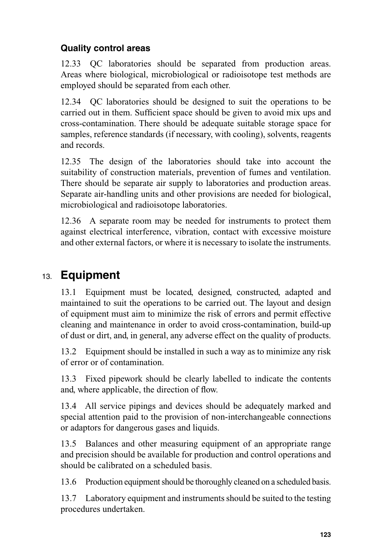## **Quality control areas**

12.33 QC laboratories should be separated from production areas. Areas where biological, microbiological or radioisotope test methods are employed should be separated from each other.

12.34 QC laboratories should be designed to suit the operations to be carried out in them. Sufficient space should be given to avoid mix ups and cross-contamination. There should be adequate suitable storage space for samples, reference standards (if necessary, with cooling), solvents, reagents and records.

12.35 The design of the laboratories should take into account the suitability of construction materials, prevention of fumes and ventilation. There should be separate air supply to laboratories and production areas. Separate air-handling units and other provisions are needed for biological, microbiological and radioisotope laboratories.

12.36 A separate room may be needed for instruments to protect them against electrical interference, vibration, contact with excessive moisture and other external factors, or where it is necessary to isolate the instruments.

# 13. **Equipment**

13.1 Equipment must be located, designed, constructed, adapted and maintained to suit the operations to be carried out. The layout and design of equipment must aim to minimize the risk of errors and permit effective cleaning and maintenance in order to avoid cross-contamination, build-up of dust or dirt, and, in general, any adverse effect on the quality of products.

13.2 Equipment should be installed in such a way as to minimize any risk of error or of contamination.

13.3 Fixed pipework should be clearly labelled to indicate the contents and, where applicable, the direction of flow.

13.4 All service pipings and devices should be adequately marked and special attention paid to the provision of non-interchangeable connections or adaptors for dangerous gases and liquids.

13.5 Balances and other measuring equipment of an appropriate range and precision should be available for production and control operations and should be calibrated on a scheduled basis.

13.6 Production equipment should be thoroughly cleaned on a scheduled basis.

13.7 Laboratory equipment and instruments should be suited to the testing procedures undertaken.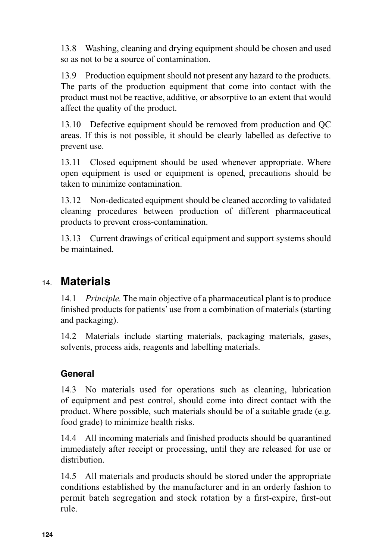13.8 Washing, cleaning and drying equipment should be chosen and used so as not to be a source of contamination.

13.9 Production equipment should not present any hazard to the products. The parts of the production equipment that come into contact with the product must not be reactive, additive, or absorptive to an extent that would affect the quality of the product.

13.10 Defective equipment should be removed from production and QC areas. If this is not possible, it should be clearly labelled as defective to prevent use.

13.11 Closed equipment should be used whenever appropriate. Where open equipment is used or equipment is opened, precautions should be taken to minimize contamination.

13.12 Non-dedicated equipment should be cleaned according to validated cleaning procedures between production of different pharmaceutical products to prevent cross-contamination.

13.13 Current drawings of critical equipment and support systems should be maintained.

# 14. **Materials**

14.1 *Principle.* The main objective of a pharmaceutical plant is to produce finished products for patients' use from a combination of materials (starting) and packaging).

14.2 Materials include starting materials, packaging materials, gases, solvents, process aids, reagents and labelling materials.

## **General**

14.3 No materials used for operations such as cleaning, lubrication of equipment and pest control, should come into direct contact with the product. Where possible, such materials should be of a suitable grade (e.g. food grade) to minimize health risks.

14.4 All incoming materials and finished products should be quarantined immediately after receipt or processing, until they are released for use or distribution.

14.5 All materials and products should be stored under the appropriate conditions established by the manufacturer and in an orderly fashion to permit batch segregation and stock rotation by a first-expire, first-out rule.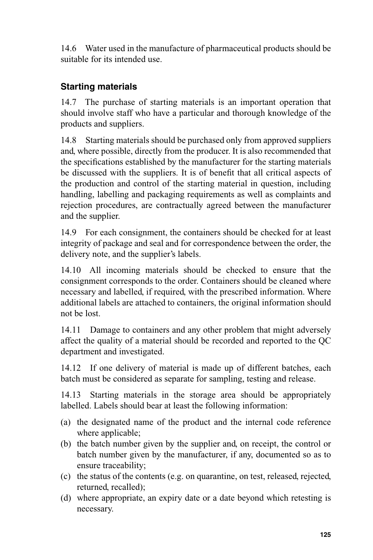14.6 Water used in the manufacture of pharmaceutical products should be suitable for its intended use.

## **Starting materials**

14.7 The purchase of starting materials is an important operation that should involve staff who have a particular and thorough knowledge of the products and suppliers.

14.8 Starting materials should be purchased only from approved suppliers and, where possible, directly from the producer. It is also recommended that the specifications established by the manufacturer for the starting materials be discussed with the suppliers. It is of benefit that all critical aspects of the production and control of the starting material in question, including handling, labelling and packaging requirements as well as complaints and rejection procedures, are contractually agreed between the manufacturer and the supplier.

14.9 For each consignment, the containers should be checked for at least integrity of package and seal and for correspondence between the order, the delivery note, and the supplier's labels.

14.10 All incoming materials should be checked to ensure that the consignment corresponds to the order. Containers should be cleaned where necessary and labelled, if required, with the prescribed information. Where additional labels are attached to containers, the original information should not be lost.

14.11 Damage to containers and any other problem that might adversely affect the quality of a material should be recorded and reported to the QC department and investigated.

14.12 If one delivery of material is made up of different batches, each batch must be considered as separate for sampling, testing and release.

14.13 Starting materials in the storage area should be appropriately labelled. Labels should bear at least the following information:

- (a) the designated name of the product and the internal code reference where applicable;
- (b) the batch number given by the supplier and, on receipt, the control or batch number given by the manufacturer, if any, documented so as to ensure traceability;
- (c) the status of the contents (e.g. on quarantine, on test, released, rejected, returned, recalled);
- (d) where appropriate, an expiry date or a date beyond which retesting is necessary.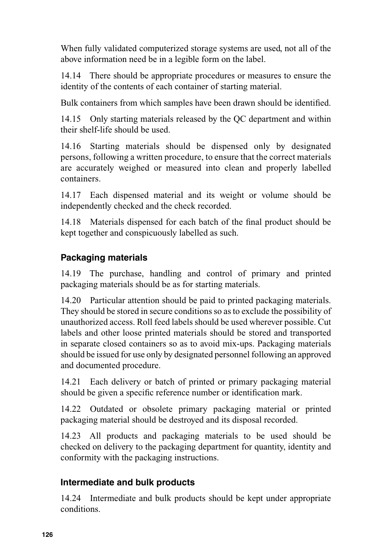When fully validated computerized storage systems are used, not all of the above information need be in a legible form on the label.

14.14 There should be appropriate procedures or measures to ensure the identity of the contents of each container of starting material.

Bulk containers from which samples have been drawn should be identified.

14.15 Only starting materials released by the QC department and within their shelf-life should be used.

14.16 Starting materials should be dispensed only by designated persons, following a written procedure, to ensure that the correct materials are accurately weighed or measured into clean and properly labelled containers.

14.17 Each dispensed material and its weight or volume should be independently checked and the check recorded.

14.18 Materials dispensed for each batch of the final product should be kept together and conspicuously labelled as such.

## **Packaging materials**

14.19 The purchase, handling and control of primary and printed packaging materials should be as for starting materials.

14.20 Particular attention should be paid to printed packaging materials. They should be stored in secure conditions so as to exclude the possibility of unauthorized access. Roll feed labels should be used wherever possible. Cut labels and other loose printed materials should be stored and transported in separate closed containers so as to avoid mix-ups. Packaging materials should be issued for use only by designated personnel following an approved and documented procedure.

14.21 Each delivery or batch of printed or primary packaging material should be given a specific reference number or identification mark.

14.22 Outdated or obsolete primary packaging material or printed packaging material should be destroyed and its disposal recorded.

14.23 All products and packaging materials to be used should be checked on delivery to the packaging department for quantity, identity and conformity with the packaging instructions.

## **Intermediate and bulk products**

14.24 Intermediate and bulk products should be kept under appropriate conditions.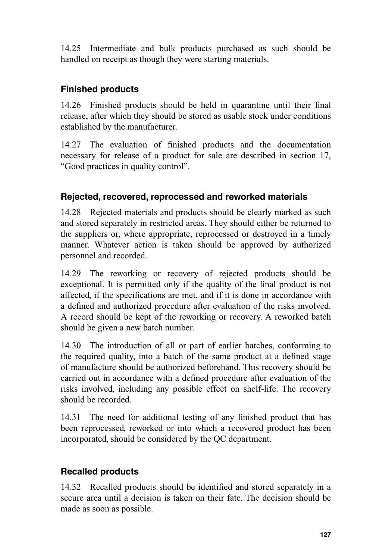14.25 Intermediate and bulk products purchased as such should be handled on receipt as though they were starting materials.

## **Finished products**

14.26 Finished products should be held in quarantine until their final release, after which they should be stored as usable stock under conditions established by the manufacturer.

14.27 The evaluation of finished products and the documentation necessary for release of a product for sale are described in section 17, "Good practices in quality control".

## **Rejected, recovered, reprocessed and reworked materials**

14.28 Rejected materials and products should be clearly marked as such and stored separately in restricted areas. They should either be returned to the suppliers or, where appropriate, reprocessed or destroyed in a timely manner. Whatever action is taken should be approved by authorized personnel and recorded.

14.29 The reworking or recovery of rejected products should be exceptional. It is permitted only if the quality of the final product is not affected, if the specifications are met, and if it is done in accordance with a defined and authorized procedure after evaluation of the risks involved. A record should be kept of the reworking or recovery. A reworked batch should be given a new batch number.

14.30 The introduction of all or part of earlier batches, conforming to the required quality, into a batch of the same product at a defined stage of manufacture should be authorized beforehand. This recovery should be carried out in accordance with a defined procedure after evaluation of the risks involved, including any possible effect on shelf-life. The recovery should be recorded.

14.31 The need for additional testing of any finished product that has been reprocessed, reworked or into which a recovered product has been incorporated, should be considered by the QC department.

## **Recalled products**

14.32 Recalled products should be identified and stored separately in a secure area until a decision is taken on their fate. The decision should be made as soon as possible.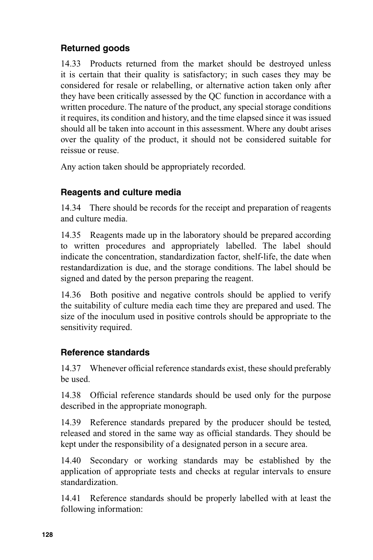## **Returned goods**

14.33 Products returned from the market should be destroyed unless it is certain that their quality is satisfactory; in such cases they may be considered for resale or relabelling, or alternative action taken only after they have been critically assessed by the QC function in accordance with a written procedure. The nature of the product, any special storage conditions it requires, its condition and history, and the time elapsed since it was issued should all be taken into account in this assessment. Where any doubt arises over the quality of the product, it should not be considered suitable for reissue or reuse.

Any action taken should be appropriately recorded.

## **Reagents and culture media**

14.34 There should be records for the receipt and preparation of reagents and culture media.

14.35 Reagents made up in the laboratory should be prepared according to written procedures and appropriately labelled. The label should indicate the concentration, standardization factor, shelf-life, the date when restandardization is due, and the storage conditions. The label should be signed and dated by the person preparing the reagent.

14.36 Both positive and negative controls should be applied to verify the suitability of culture media each time they are prepared and used. The size of the inoculum used in positive controls should be appropriate to the sensitivity required.

## **Reference standards**

14.37 Whenever official reference standards exist, these should preferably be used.

14.38 Official reference standards should be used only for the purpose described in the appropriate monograph.

14.39 Reference standards prepared by the producer should be tested, released and stored in the same way as official standards. They should be kept under the responsibility of a designated person in a secure area.

14.40 Secondary or working standards may be established by the application of appropriate tests and checks at regular intervals to ensure standardization.

14.41 Reference standards should be properly labelled with at least the following information: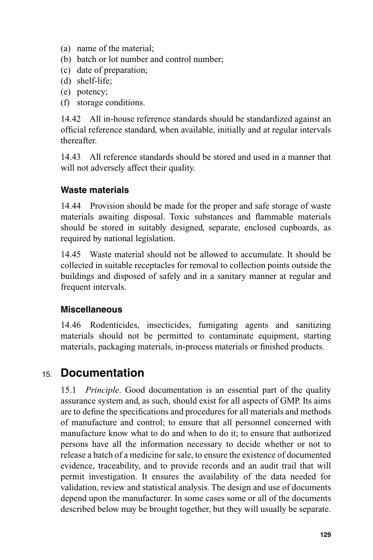- (a) name of the material;
- (b) batch or lot number and control number;
- (c) date of preparation;
- (d) shelf-life;
- (e) potency;
- (f) storage conditions.

14.42 All in-house reference standards should be standardized against an official reference standard, when available, initially and at regular intervals thereafter.

14.43 All reference standards should be stored and used in a manner that will not adversely affect their quality.

## **Waste materials**

14.44 Provision should be made for the proper and safe storage of waste materials awaiting disposal. Toxic substances and flammable materials should be stored in suitably designed, separate, enclosed cupboards, as required by national legislation.

14.45 Waste material should not be allowed to accumulate. It should be collected in suitable receptacles for removal to collection points outside the buildings and disposed of safely and in a sanitary manner at regular and frequent intervals.

## **Miscellaneous**

14.46 Rodenticides, insecticides, fumigating agents and sanitizing materials should not be permitted to contaminate equipment, starting materials, packaging materials, in-process materials or finished products.

# 15. **Documentation**

15.1 *Principle*. Good documentation is an essential part of the quality assurance system and, as such, should exist for all aspects of GMP. Its aims are to define the specifications and procedures for all materials and methods of manufacture and control; to ensure that all personnel concerned with manufacture know what to do and when to do it; to ensure that authorized persons have all the information necessary to decide whether or not to release a batch of a medicine for sale, to ensure the existence of documented evidence, traceability, and to provide records and an audit trail that will permit investigation. It ensures the availability of the data needed for validation, review and statistical analysis. The design and use of documents depend upon the manufacturer. In some cases some or all of the documents described below may be brought together, but they will usually be separate.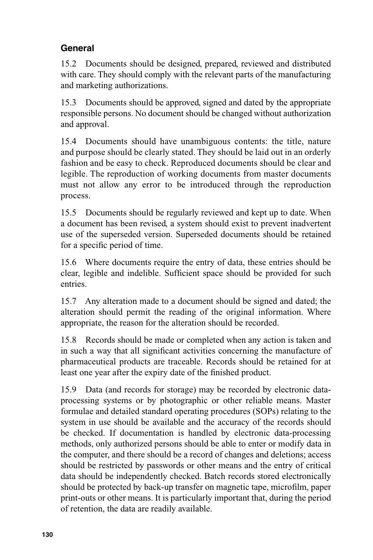## **General**

15.2 Documents should be designed, prepared, reviewed and distributed with care. They should comply with the relevant parts of the manufacturing and marketing authorizations.

15.3 Documents should be approved, signed and dated by the appropriate responsible persons. No document should be changed without authorization and approval.

15.4 Documents should have unambiguous contents: the title, nature and purpose should be clearly stated. They should be laid out in an orderly fashion and be easy to check. Reproduced documents should be clear and legible. The reproduction of working documents from master documents must not allow any error to be introduced through the reproduction process.

15.5 Documents should be regularly reviewed and kept up to date. When a document has been revised, a system should exist to prevent inadvertent use of the superseded version. Superseded documents should be retained for a specific period of time.

15.6 Where documents require the entry of data, these entries should be clear, legible and indelible. Sufficient space should be provided for such entries.

15.7 Any alteration made to a document should be signed and dated; the alteration should permit the reading of the original information. Where appropriate, the reason for the alteration should be recorded.

15.8 Records should be made or completed when any action is taken and in such a way that all significant activities concerning the manufacture of pharmaceutical products are traceable. Records should be retained for at least one year after the expiry date of the finished product.

15.9 Data (and records for storage) may be recorded by electronic dataprocessing systems or by photographic or other reliable means. Master formulae and detailed standard operating procedures (SOPs) relating to the system in use should be available and the accuracy of the records should be checked. If documentation is handled by electronic data-processing methods, only authorized persons should be able to enter or modify data in the computer, and there should be a record of changes and deletions; access should be restricted by passwords or other means and the entry of critical data should be independently checked. Batch records stored electronically should be protected by back-up transfer on magnetic tape, microfilm, paper print-outs or other means. It is particularly important that, during the period of retention, the data are readily available.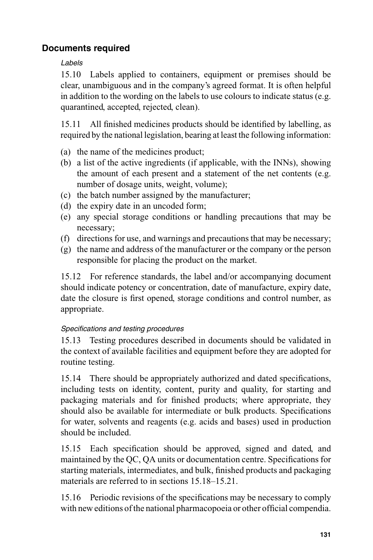## **Documents required**

Labels

15.10 Labels applied to containers, equipment or premises should be clear, unambiguous and in the company's agreed format. It is often helpful in addition to the wording on the labels to use colours to indicate status (e.g. quarantined, accepted, rejected, clean).

15.11 All finished medicines products should be identified by labelling, as required by the national legislation, bearing at least the following information:

- (a) the name of the medicines product;
- (b) a list of the active ingredients (if applicable, with the INNs), showing the amount of each present and a statement of the net contents (e.g. number of dosage units, weight, volume);
- (c) the batch number assigned by the manufacturer;
- (d) the expiry date in an uncoded form;
- (e) any special storage conditions or handling precautions that may be necessary;
- (f) directions for use, and warnings and precautions that may be necessary;
- (g) the name and address of the manufacturer or the company or the person responsible for placing the product on the market.

15.12 For reference standards, the label and/or accompanying document should indicate potency or concentration, date of manufacture, expiry date, date the closure is first opened, storage conditions and control number, as appropriate.

## Specifications and testing procedures

15.13 Testing procedures described in documents should be validated in the context of available facilities and equipment before they are adopted for routine testing.

15.14 There should be appropriately authorized and dated specifications, including tests on identity, content, purity and quality, for starting and packaging materials and for finished products; where appropriate, they should also be available for intermediate or bulk products. Specifications for water, solvents and reagents (e.g. acids and bases) used in production should be included.

15.15 Each specification should be approved, signed and dated, and maintained by the QC, QA units or documentation centre. Specifications for starting materials, intermediates, and bulk, finished products and packaging materials are referred to in sections 15.18–15.21.

15.16 Periodic revisions of the specifications may be necessary to comply with new editions of the national pharmacopoeia or other official compendia.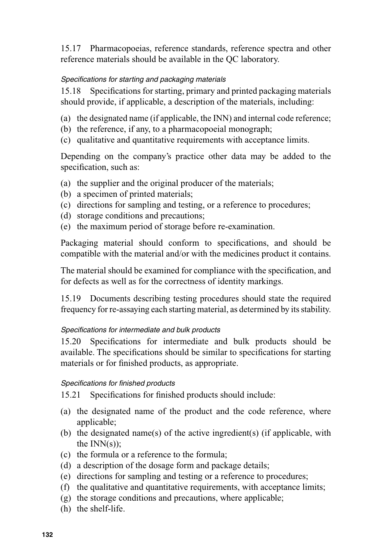15.17 Pharmacopoeias, reference standards, reference spectra and other reference materials should be available in the QC laboratory.

### Specifications for starting and packaging materials

15.18 Specifications for starting, primary and printed packaging materials should provide, if applicable, a description of the materials, including:

- (a) the designated name (if applicable, the INN) and internal code reference;
- (b) the reference, if any, to a pharmacopoeial monograph;
- (c) qualitative and quantitative requirements with acceptance limits.

Depending on the company's practice other data may be added to the specification, such as:

- (a) the supplier and the original producer of the materials;
- (b) a specimen of printed materials;
- (c) directions for sampling and testing, or a reference to procedures;
- (d) storage conditions and precautions;
- (e) the maximum period of storage before re-examination.

Packaging material should conform to specifications, and should be compatible with the material and/or with the medicines product it contains.

The material should be examined for compliance with the specification, and for defects as well as for the correctness of identity markings.

15.19 Documents describing testing procedures should state the required frequency for re-assaying each starting material, as determined by its stability.

## Specifications for intermediate and bulk products

15.20 Specifications for intermediate and bulk products should be available. The specifications should be similar to specifications for starting materials or for finished products, as appropriate.

## Specifications for finished products

15.21 Specifications for finished products should include:

- (a) the designated name of the product and the code reference, where applicable;
- (b) the designated name(s) of the active ingredient(s) (if applicable, with the  $INN(s)$ :
- (c) the formula or a reference to the formula;
- (d) a description of the dosage form and package details;
- (e) directions for sampling and testing or a reference to procedures;
- (f) the qualitative and quantitative requirements, with acceptance limits;
- (g) the storage conditions and precautions, where applicable;
- (h) the shelf-life.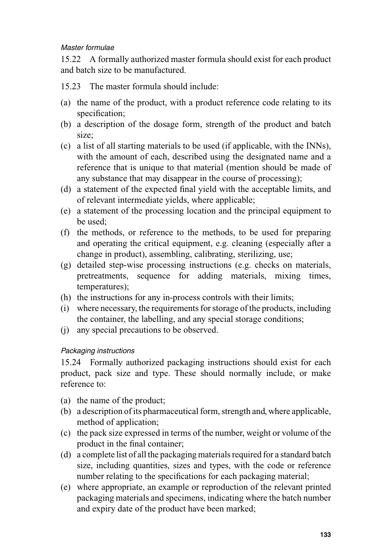### Master formulae

15.22 A formally authorized master formula should exist for each product and batch size to be manufactured.

15.23 The master formula should include:

- (a) the name of the product, with a product reference code relating to its specification:
- (b) a description of the dosage form, strength of the product and batch size;
- (c) a list of all starting materials to be used (if applicable, with the INNs), with the amount of each, described using the designated name and a reference that is unique to that material (mention should be made of any substance that may disappear in the course of processing);
- (d) a statement of the expected final yield with the acceptable limits, and of relevant intermediate yields, where applicable;
- (e) a statement of the processing location and the principal equipment to be used;
- (f) the methods, or reference to the methods, to be used for preparing and operating the critical equipment, e.g. cleaning (especially after a change in product), assembling, calibrating, sterilizing, use;
- (g) detailed step-wise processing instructions (e.g. checks on materials, pretreatments, sequence for adding materials, mixing times, temperatures);
- (h) the instructions for any in-process controls with their limits;
- (i) where necessary, the requirements for storage of the products, including the container, the labelling, and any special storage conditions;
- (j) any special precautions to be observed.

## Packaging instructions

15.24 Formally authorized packaging instructions should exist for each product, pack size and type. These should normally include, or make reference to:

- (a) the name of the product;
- (b) a description of its pharmaceutical form, strength and, where applicable, method of application;
- (c) the pack size expressed in terms of the number, weight or volume of the product in the final container;
- (d) a complete list of all the packaging materials required for a standard batch size, including quantities, sizes and types, with the code or reference number relating to the specifications for each packaging material;
- (e) where appropriate, an example or reproduction of the relevant printed packaging materials and specimens, indicating where the batch number and expiry date of the product have been marked;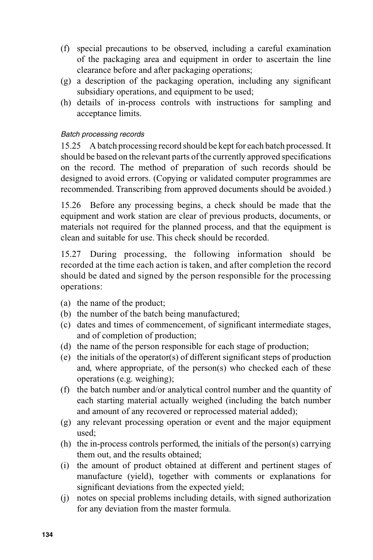- (f) special precautions to be observed, including a careful examination of the packaging area and equipment in order to ascertain the line clearance before and after packaging operations;
- $(g)$  a description of the packaging operation, including any significant subsidiary operations, and equipment to be used;
- (h) details of in-process controls with instructions for sampling and acceptance limits.

### Batch processing records

15.25 A batch processing record should be kept for each batch processed. It should be based on the relevant parts of the currently approved specifications on the record. The method of preparation of such records should be designed to avoid errors. (Copying or validated computer programmes are recommended. Transcribing from approved documents should be avoided.)

15.26 Before any processing begins, a check should be made that the equipment and work station are clear of previous products, documents, or materials not required for the planned process, and that the equipment is clean and suitable for use. This check should be recorded.

15.27 During processing, the following information should be recorded at the time each action is taken, and after completion the record should be dated and signed by the person responsible for the processing operations:

- (a) the name of the product;
- (b) the number of the batch being manufactured;
- (c) dates and times of commencement, of significant intermediate stages, and of completion of production;
- (d) the name of the person responsible for each stage of production;
- (e) the initials of the operator(s) of different significant steps of production and, where appropriate, of the person(s) who checked each of these operations (e.g. weighing);
- (f) the batch number and/or analytical control number and the quantity of each starting material actually weighed (including the batch number and amount of any recovered or reprocessed material added);
- (g) any relevant processing operation or event and the major equipment used;
- (h) the in-process controls performed, the initials of the person(s) carrying them out, and the results obtained;
- (i) the amount of product obtained at different and pertinent stages of manufacture (yield), together with comments or explanations for significant deviations from the expected yield;
- (j) notes on special problems including details, with signed authorization for any deviation from the master formula.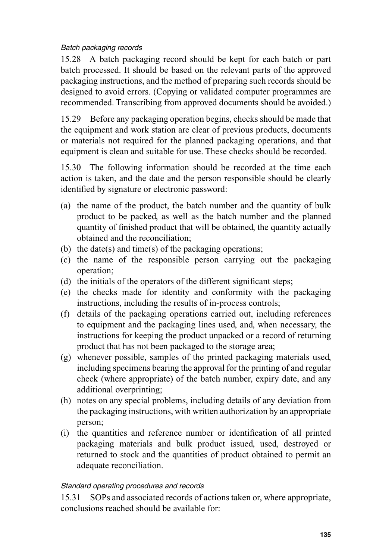## Batch packaging records

15.28 A batch packaging record should be kept for each batch or part batch processed. It should be based on the relevant parts of the approved packaging instructions, and the method of preparing such records should be designed to avoid errors. (Copying or validated computer programmes are recommended. Transcribing from approved documents should be avoided.)

15.29 Before any packaging operation begins, checks should be made that the equipment and work station are clear of previous products, documents or materials not required for the planned packaging operations, and that equipment is clean and suitable for use. These checks should be recorded.

15.30 The following information should be recorded at the time each action is taken, and the date and the person responsible should be clearly identified by signature or electronic password:

- (a) the name of the product, the batch number and the quantity of bulk product to be packed, as well as the batch number and the planned quantity of finished product that will be obtained, the quantity actually obtained and the reconciliation;
- (b) the date(s) and time(s) of the packaging operations;
- (c) the name of the responsible person carrying out the packaging operation;
- (d) the initials of the operators of the different significant steps;
- (e) the checks made for identity and conformity with the packaging instructions, including the results of in-process controls;
- (f) details of the packaging operations carried out, including references to equipment and the packaging lines used, and, when necessary, the instructions for keeping the product unpacked or a record of returning product that has not been packaged to the storage area;
- (g) whenever possible, samples of the printed packaging materials used, including specimens bearing the approval for the printing of and regular check (where appropriate) of the batch number, expiry date, and any additional overprinting;
- (h) notes on any special problems, including details of any deviation from the packaging instructions, with written authorization by an appropriate person;
- (i) the quantities and reference number or identification of all printed packaging materials and bulk product issued, used, destroyed or returned to stock and the quantities of product obtained to permit an adequate reconciliation.

## Standard operating procedures and records

15.31 SOPs and associated records of actions taken or, where appropriate, conclusions reached should be available for: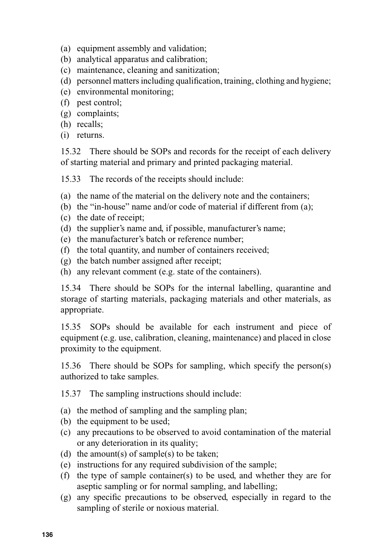- (a) equipment assembly and validation:
- (b) analytical apparatus and calibration;
- (c) maintenance, cleaning and sanitization;
- $(d)$  personnel matters including qualification, training, clothing and hygiene;
- (e) environmental monitoring;
- (f) pest control;
- (g) complaints;
- (h) recalls;
- (i) returns.

15.32 There should be SOPs and records for the receipt of each delivery of starting material and primary and printed packaging material.

15.33 The records of the receipts should include:

- (a) the name of the material on the delivery note and the containers;
- (b) the "in-house" name and/or code of material if different from (a);
- (c) the date of receipt;
- (d) the supplier's name and, if possible, manufacturer's name;
- (e) the manufacturer's batch or reference number;
- (f) the total quantity, and number of containers received;
- (g) the batch number assigned after receipt;
- (h) any relevant comment (e.g. state of the containers).

15.34 There should be SOPs for the internal labelling, quarantine and storage of starting materials, packaging materials and other materials, as appropriate.

15.35 SOPs should be available for each instrument and piece of equipment (e.g. use, calibration, cleaning, maintenance) and placed in close proximity to the equipment.

15.36 There should be SOPs for sampling, which specify the person(s) authorized to take samples.

15.37 The sampling instructions should include:

- (a) the method of sampling and the sampling plan;
- (b) the equipment to be used;
- (c) any precautions to be observed to avoid contamination of the material or any deterioration in its quality;
- (d) the amount(s) of sample(s) to be taken;
- (e) instructions for any required subdivision of the sample;
- (f) the type of sample container(s) to be used, and whether they are for aseptic sampling or for normal sampling, and labelling;
- $(g)$  any specific precautions to be observed, especially in regard to the sampling of sterile or noxious material.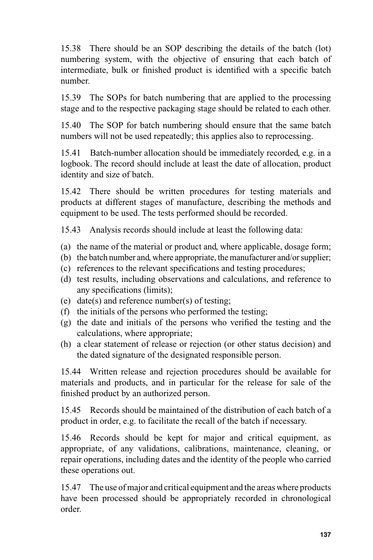15.38 There should be an SOP describing the details of the batch (lot) numbering system, with the objective of ensuring that each batch of intermediate, bulk or finished product is identified with a specific batch number.

15.39 The SOPs for batch numbering that are applied to the processing stage and to the respective packaging stage should be related to each other.

15.40 The SOP for batch numbering should ensure that the same batch numbers will not be used repeatedly; this applies also to reprocessing.

15.41 Batch-number allocation should be immediately recorded, e.g. in a logbook. The record should include at least the date of allocation, product identity and size of batch.

15.42 There should be written procedures for testing materials and products at different stages of manufacture, describing the methods and equipment to be used. The tests performed should be recorded.

15.43 Analysis records should include at least the following data:

- (a) the name of the material or product and, where applicable, dosage form;
- (b) the batch number and, where appropriate, the manufacturer and/or supplier;
- (c) references to the relevant specifications and testing procedures;
- (d) test results, including observations and calculations, and reference to any specifications (limits):
- (e) date(s) and reference number(s) of testing;
- (f) the initials of the persons who performed the testing;
- $(g)$  the date and initials of the persons who verified the testing and the calculations, where appropriate;
- (h) a clear statement of release or rejection (or other status decision) and the dated signature of the designated responsible person.

15.44 Written release and rejection procedures should be available for materials and products, and in particular for the release for sale of the finished product by an authorized person.

15.45 Records should be maintained of the distribution of each batch of a product in order, e.g. to facilitate the recall of the batch if necessary.

15.46 Records should be kept for major and critical equipment, as appropriate, of any validations, calibrations, maintenance, cleaning, or repair operations, including dates and the identity of the people who carried these operations out.

15.47 The use of major and critical equipment and the areas where products have been processed should be appropriately recorded in chronological order.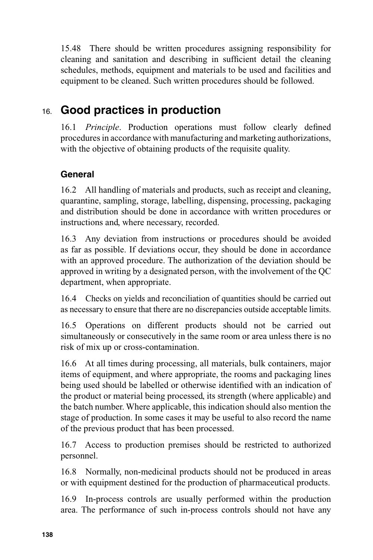15.48 There should be written procedures assigning responsibility for cleaning and sanitation and describing in sufficient detail the cleaning schedules, methods, equipment and materials to be used and facilities and equipment to be cleaned. Such written procedures should be followed.

# 16. **Good practices in production**

16.1 *Principle*. Production operations must follow clearly defined procedures in accordance with manufacturing and marketing authorizations, with the objective of obtaining products of the requisite quality.

# **General**

16.2 All handling of materials and products, such as receipt and cleaning, quarantine, sampling, storage, labelling, dispensing, processing, packaging and distribution should be done in accordance with written procedures or instructions and, where necessary, recorded.

16.3 Any deviation from instructions or procedures should be avoided as far as possible. If deviations occur, they should be done in accordance with an approved procedure. The authorization of the deviation should be approved in writing by a designated person, with the involvement of the QC department, when appropriate.

16.4 Checks on yields and reconciliation of quantities should be carried out as necessary to ensure that there are no discrepancies outside acceptable limits.

16.5 Operations on different products should not be carried out simultaneously or consecutively in the same room or area unless there is no risk of mix up or cross-contamination.

16.6 At all times during processing, all materials, bulk containers, major items of equipment, and where appropriate, the rooms and packaging lines being used should be labelled or otherwise identified with an indication of the product or material being processed, its strength (where applicable) and the batch number. Where applicable, this indication should also mention the stage of production. In some cases it may be useful to also record the name of the previous product that has been processed.

16.7 Access to production premises should be restricted to authorized personnel.

16.8 Normally, non-medicinal products should not be produced in areas or with equipment destined for the production of pharmaceutical products.

16.9 In-process controls are usually performed within the production area. The performance of such in-process controls should not have any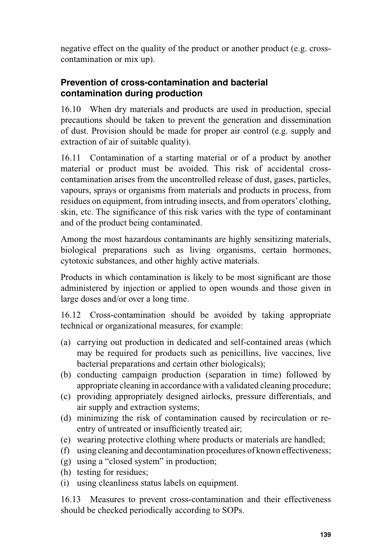negative effect on the quality of the product or another product (e.g. crosscontamination or mix up).

## **Prevention of cross-contamination and bacterial contamination during production**

16.10 When dry materials and products are used in production, special precautions should be taken to prevent the generation and dissemination of dust. Provision should be made for proper air control (e.g. supply and extraction of air of suitable quality).

16.11 Contamination of a starting material or of a product by another material or product must be avoided. This risk of accidental crosscontamination arises from the uncontrolled release of dust, gases, particles, vapours, sprays or organisms from materials and products in process, from residues on equipment, from intruding insects, and from operators' clothing, skin, etc. The significance of this risk varies with the type of contaminant and of the product being contaminated.

Among the most hazardous contaminants are highly sensitizing materials, biological preparations such as living organisms, certain hormones, cytotoxic substances, and other highly active materials.

Products in which contamination is likely to be most significant are those administered by injection or applied to open wounds and those given in large doses and/or over a long time.

16.12 Cross-contamination should be avoided by taking appropriate technical or organizational measures, for example:

- (a) carrying out production in dedicated and self-contained areas (which may be required for products such as penicillins, live vaccines, live bacterial preparations and certain other biologicals);
- (b) conducting campaign production (separation in time) followed by appropriate cleaning in accordance with a validated cleaning procedure;
- (c) providing appropriately designed airlocks, pressure differentials, and air supply and extraction systems;
- (d) minimizing the risk of contamination caused by recirculation or reentry of untreated or insufficiently treated air;
- (e) wearing protective clothing where products or materials are handled;
- (f) using cleaning and decontamination procedures of known effectiveness;
- (g) using a "closed system" in production;
- (h) testing for residues;
- (i) using cleanliness status labels on equipment.

16.13 Measures to prevent cross-contamination and their effectiveness should be checked periodically according to SOPs.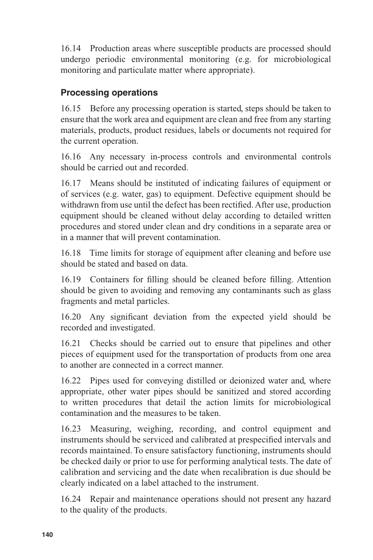16.14 Production areas where susceptible products are processed should undergo periodic environmental monitoring (e.g. for microbiological monitoring and particulate matter where appropriate).

## **Processing operations**

16.15 Before any processing operation is started, steps should be taken to ensure that the work area and equipment are clean and free from any starting materials, products, product residues, labels or documents not required for the current operation.

16.16 Any necessary in-process controls and environmental controls should be carried out and recorded.

16.17 Means should be instituted of indicating failures of equipment or of services (e.g. water, gas) to equipment. Defective equipment should be withdrawn from use until the defect has been rectified. After use, production equipment should be cleaned without delay according to detailed written procedures and stored under clean and dry conditions in a separate area or in a manner that will prevent contamination.

16.18 Time limits for storage of equipment after cleaning and before use should be stated and based on data.

16.19 Containers for filling should be cleaned before filling. Attention should be given to avoiding and removing any contaminants such as glass fragments and metal particles.

16.20 Any significant deviation from the expected yield should be recorded and investigated.

16.21 Checks should be carried out to ensure that pipelines and other pieces of equipment used for the transportation of products from one area to another are connected in a correct manner.

16.22 Pipes used for conveying distilled or deionized water and, where appropriate, other water pipes should be sanitized and stored according to written procedures that detail the action limits for microbiological contamination and the measures to be taken.

16.23 Measuring, weighing, recording, and control equipment and instruments should be serviced and calibrated at prespecified intervals and records maintained. To ensure satisfactory functioning, instruments should be checked daily or prior to use for performing analytical tests. The date of calibration and servicing and the date when recalibration is due should be clearly indicated on a label attached to the instrument.

16.24 Repair and maintenance operations should not present any hazard to the quality of the products.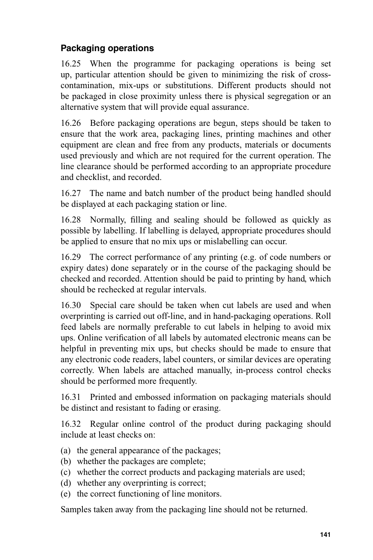## **Packaging operations**

16.25 When the programme for packaging operations is being set up, particular attention should be given to minimizing the risk of crosscontamination, mix-ups or substitutions. Different products should not be packaged in close proximity unless there is physical segregation or an alternative system that will provide equal assurance.

16.26 Before packaging operations are begun, steps should be taken to ensure that the work area, packaging lines, printing machines and other equipment are clean and free from any products, materials or documents used previously and which are not required for the current operation. The line clearance should be performed according to an appropriate procedure and checklist, and recorded.

16.27 The name and batch number of the product being handled should be displayed at each packaging station or line.

16.28 Normally, filling and sealing should be followed as quickly as possible by labelling. If labelling is delayed, appropriate procedures should be applied to ensure that no mix ups or mislabelling can occur.

16.29 The correct performance of any printing (e.g. of code numbers or expiry dates) done separately or in the course of the packaging should be checked and recorded. Attention should be paid to printing by hand, which should be rechecked at regular intervals.

16.30 Special care should be taken when cut labels are used and when overprinting is carried out off-line, and in hand-packaging operations. Roll feed labels are normally preferable to cut labels in helping to avoid mix ups. Online verification of all labels by automated electronic means can be helpful in preventing mix ups, but checks should be made to ensure that any electronic code readers, label counters, or similar devices are operating correctly. When labels are attached manually, in-process control checks should be performed more frequently.

16.31 Printed and embossed information on packaging materials should be distinct and resistant to fading or erasing.

16.32 Regular online control of the product during packaging should include at least checks on:

- (a) the general appearance of the packages;
- (b) whether the packages are complete;
- (c) whether the correct products and packaging materials are used;
- (d) whether any overprinting is correct;
- (e) the correct functioning of line monitors.

Samples taken away from the packaging line should not be returned.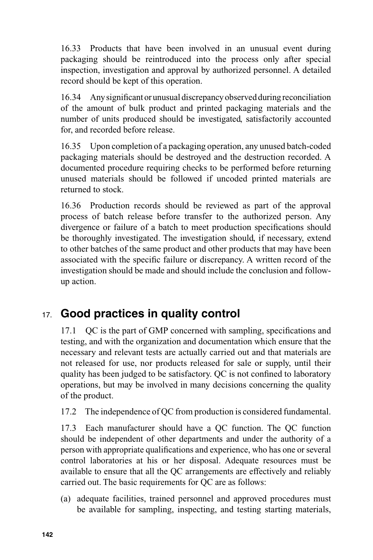16.33 Products that have been involved in an unusual event during packaging should be reintroduced into the process only after special inspection, investigation and approval by authorized personnel. A detailed record should be kept of this operation.

16.34 Any significant or unusual discrepancy observed during reconciliation of the amount of bulk product and printed packaging materials and the number of units produced should be investigated, satisfactorily accounted for, and recorded before release.

16.35 Upon completion of a packaging operation, any unused batch-coded packaging materials should be destroyed and the destruction recorded. A documented procedure requiring checks to be performed before returning unused materials should be followed if uncoded printed materials are returned to stock.

16.36 Production records should be reviewed as part of the approval process of batch release before transfer to the authorized person. Any divergence or failure of a batch to meet production specifications should be thoroughly investigated. The investigation should, if necessary, extend to other batches of the same product and other products that may have been associated with the specific failure or discrepancy. A written record of the investigation should be made and should include the conclusion and followup action.

# 17. **Good practices in quality control**

17.1 QC is the part of GMP concerned with sampling, specifications and testing, and with the organization and documentation which ensure that the necessary and relevant tests are actually carried out and that materials are not released for use, nor products released for sale or supply, until their quality has been judged to be satisfactory. QC is not confined to laboratory operations, but may be involved in many decisions concerning the quality of the product.

17.2 The independence of QC from production is considered fundamental.

17.3 Each manufacturer should have a QC function. The QC function should be independent of other departments and under the authority of a person with appropriate qualifications and experience, who has one or several control laboratories at his or her disposal. Adequate resources must be available to ensure that all the QC arrangements are effectively and reliably carried out. The basic requirements for QC are as follows:

(a) adequate facilities, trained personnel and approved procedures must be available for sampling, inspecting, and testing starting materials,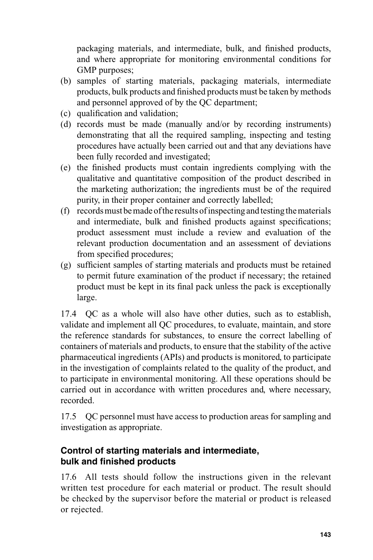packaging materials, and intermediate, bulk, and finished products, and where appropriate for monitoring environmental conditions for GMP purposes;

- (b) samples of starting materials, packaging materials, intermediate products, bulk products and finished products must be taken by methods and personnel approved of by the QC department;
- (c) qualification and validation:
- (d) records must be made (manually and/or by recording instruments) demonstrating that all the required sampling, inspecting and testing procedures have actually been carried out and that any deviations have been fully recorded and investigated;
- (e) the finished products must contain ingredients complying with the qualitative and quantitative composition of the product described in the marketing authorization; the ingredients must be of the required purity, in their proper container and correctly labelled;
- (f) records must be made of the results of inspecting and testing the materials and intermediate, bulk and finished products against specifications; product assessment must include a review and evaluation of the relevant production documentation and an assessment of deviations from specified procedures;
- $(g)$  sufficient samples of starting materials and products must be retained to permit future examination of the product if necessary; the retained product must be kept in its final pack unless the pack is exceptionally large.

17.4 QC as a whole will also have other duties, such as to establish, validate and implement all QC procedures, to evaluate, maintain, and store the reference standards for substances, to ensure the correct labelling of containers of materials and products, to ensure that the stability of the active pharmaceutical ingredients (APIs) and products is monitored, to participate in the investigation of complaints related to the quality of the product, and to participate in environmental monitoring. All these operations should be carried out in accordance with written procedures and, where necessary, recorded.

17.5 QC personnel must have access to production areas for sampling and investigation as appropriate.

## **Control of starting materials and intermediate, bulk and finished products**

17.6 All tests should follow the instructions given in the relevant written test procedure for each material or product. The result should be checked by the supervisor before the material or product is released or rejected.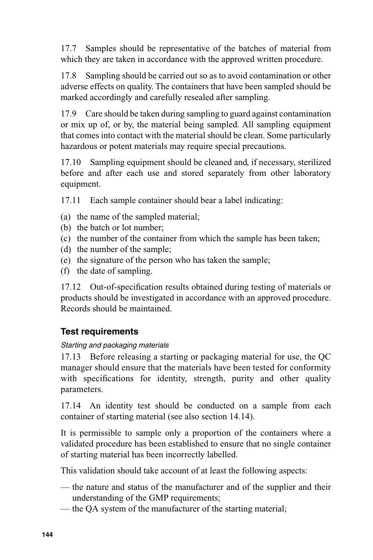17.7 Samples should be representative of the batches of material from which they are taken in accordance with the approved written procedure.

17.8 Sampling should be carried out so as to avoid contamination or other adverse effects on quality. The containers that have been sampled should be marked accordingly and carefully resealed after sampling.

17.9 Care should be taken during sampling to guard against contamination or mix up of, or by, the material being sampled. All sampling equipment that comes into contact with the material should be clean. Some particularly hazardous or potent materials may require special precautions.

17.10 Sampling equipment should be cleaned and, if necessary, sterilized before and after each use and stored separately from other laboratory equipment.

17.11 Each sample container should bear a label indicating:

- (a) the name of the sampled material;
- (b) the batch or lot number;
- (c) the number of the container from which the sample has been taken;
- (d) the number of the sample;
- (e) the signature of the person who has taken the sample;
- (f) the date of sampling.

17.12 Out-of-specification results obtained during testing of materials or products should be investigated in accordance with an approved procedure. Records should be maintained.

## **Test requirements**

## Starting and packaging materials

17.13 Before releasing a starting or packaging material for use, the QC manager should ensure that the materials have been tested for conformity with specifications for identity, strength, purity and other quality parameters.

17.14 An identity test should be conducted on a sample from each container of starting material (see also section 14.14).

It is permissible to sample only a proportion of the containers where a validated procedure has been established to ensure that no single container of starting material has been incorrectly labelled.

This validation should take account of at least the following aspects:

- the nature and status of the manufacturer and of the supplier and their understanding of the GMP requirements;
- the QA system of the manufacturer of the starting material;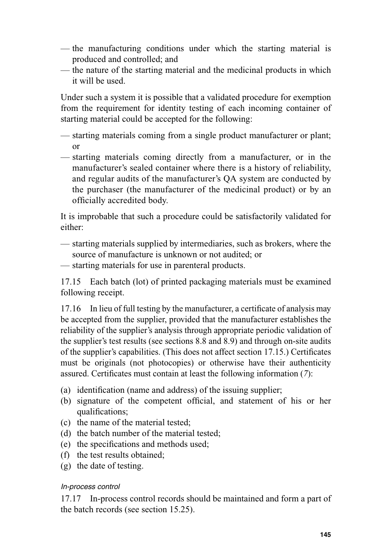- the manufacturing conditions under which the starting material is produced and controlled; and
- the nature of the starting material and the medicinal products in which it will be used.

Under such a system it is possible that a validated procedure for exemption from the requirement for identity testing of each incoming container of starting material could be accepted for the following:

- starting materials coming from a single product manufacturer or plant; or
- starting materials coming directly from a manufacturer, or in the manufacturer's sealed container where there is a history of reliability, and regular audits of the manufacturer's QA system are conducted by the purchaser (the manufacturer of the medicinal product) or by an officially accredited body.

It is improbable that such a procedure could be satisfactorily validated for either:

- starting materials supplied by intermediaries, such as brokers, where the source of manufacture is unknown or not audited; or
- starting materials for use in parenteral products.

17.15 Each batch (lot) of printed packaging materials must be examined following receipt.

17.16 In lieu of full testing by the manufacturer, a certificate of analysis may be accepted from the supplier, provided that the manufacturer establishes the reliability of the supplier's analysis through appropriate periodic validation of the supplier's test results (see sections 8.8 and 8.9) and through on-site audits of the supplier's capabilities. (This does not affect section 17.15.) Certificates must be originals (not photocopies) or otherwise have their authenticity assured. Certificates must contain at least the following information (7):

- (a) identification (name and address) of the issuing supplier;
- (b) signature of the competent official, and statement of his or her qualifications;
- (c) the name of the material tested;
- (d) the batch number of the material tested;
- (e) the specifications and methods used;
- (f) the test results obtained;
- (g) the date of testing.

### In-process control

17.17 In-process control records should be maintained and form a part of the batch records (see section 15.25).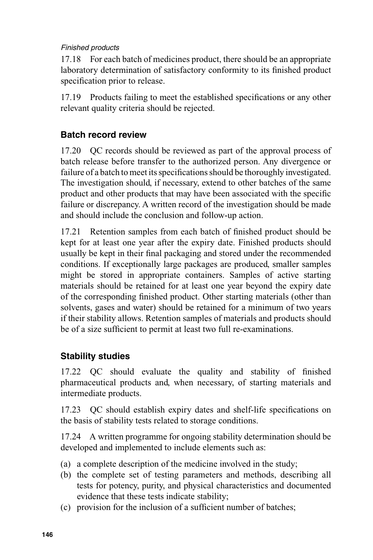## Finished products

17.18 For each batch of medicines product, there should be an appropriate laboratory determination of satisfactory conformity to its finished product specification prior to release.

17.19 Products failing to meet the established specifications or any other relevant quality criteria should be rejected.

## **Batch record review**

17.20 QC records should be reviewed as part of the approval process of batch release before transfer to the authorized person. Any divergence or failure of a batch to meet its specifications should be thoroughly investigated. The investigation should, if necessary, extend to other batches of the same product and other products that may have been associated with the specific failure or discrepancy. A written record of the investigation should be made and should include the conclusion and follow-up action.

17.21 Retention samples from each batch of finished product should be kept for at least one year after the expiry date. Finished products should usually be kept in their final packaging and stored under the recommended conditions. If exceptionally large packages are produced, smaller samples might be stored in appropriate containers. Samples of active starting materials should be retained for at least one year beyond the expiry date of the corresponding finished product. Other starting materials (other than solvents, gases and water) should be retained for a minimum of two years if their stability allows. Retention samples of materials and products should be of a size sufficient to permit at least two full re-examinations.

# **Stability studies**

17.22 QC should evaluate the quality and stability of finished pharmaceutical products and, when necessary, of starting materials and intermediate products.

17.23 QC should establish expiry dates and shelf-life specifications on the basis of stability tests related to storage conditions.

17.24 A written programme for ongoing stability determination should be developed and implemented to include elements such as:

- (a) a complete description of the medicine involved in the study;
- (b) the complete set of testing parameters and methods, describing all tests for potency, purity, and physical characteristics and documented evidence that these tests indicate stability;
- $(c)$  provision for the inclusion of a sufficient number of batches;